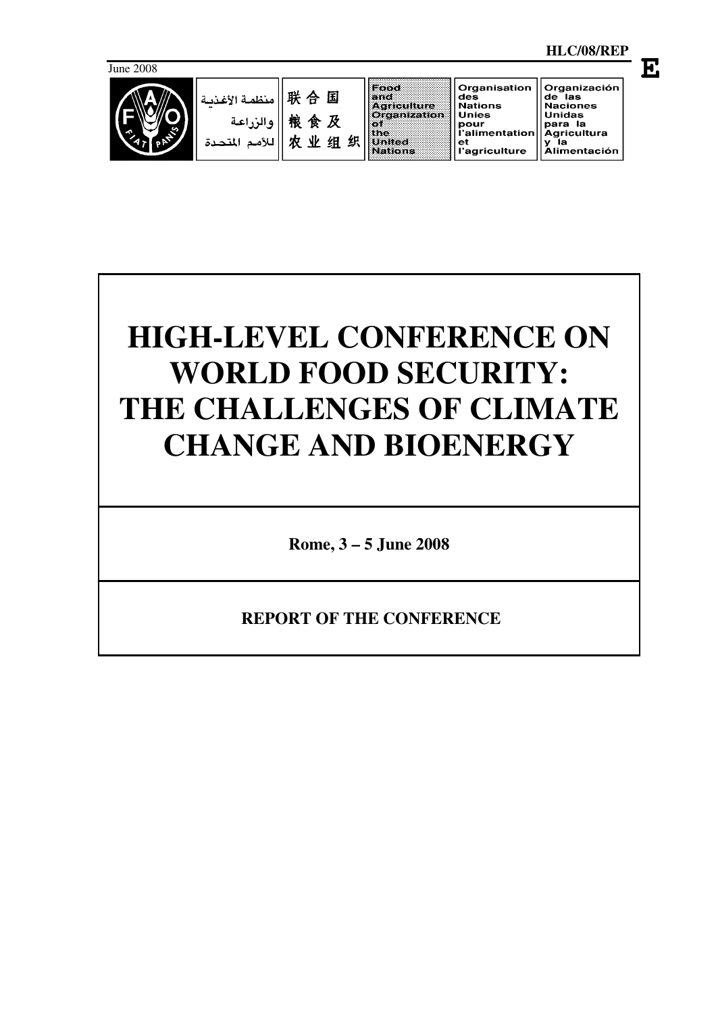



| 联合国<br>.<br><b>منظمة الأغذ</b> ب<br>والزراعة<br>粮食及<br>农业组<br>织<br>حدة | 2000<br>griculture<br>rganization<br>United<br>ations |
|------------------------------------------------------------------------|-------------------------------------------------------|
|------------------------------------------------------------------------|-------------------------------------------------------|

| 70 T.C            | Organisation   |
|-------------------|----------------|
|                   | des            |
| <b>ariculture</b> | <b>Nations</b> |
| qanization        | <b>Unies</b>   |
|                   | pour           |
|                   | l'alimentation |
| mez               | et             |
| itions            | l'agriculture  |
|                   |                |



Organización

de las<br>Naciones<br>Unidas

para la<br>Agricultura<br>y la

y<br>Alimentación

# **HIGH-LEVEL CONFERENCE ON WORLD FOOD SECURITY: THE CHALLENGES OF CLIMATE CHANGE AND BIOENERGY**

**Rome, 3 – 5 June 2008** 

 **REPORT OF THE CONFERENCE**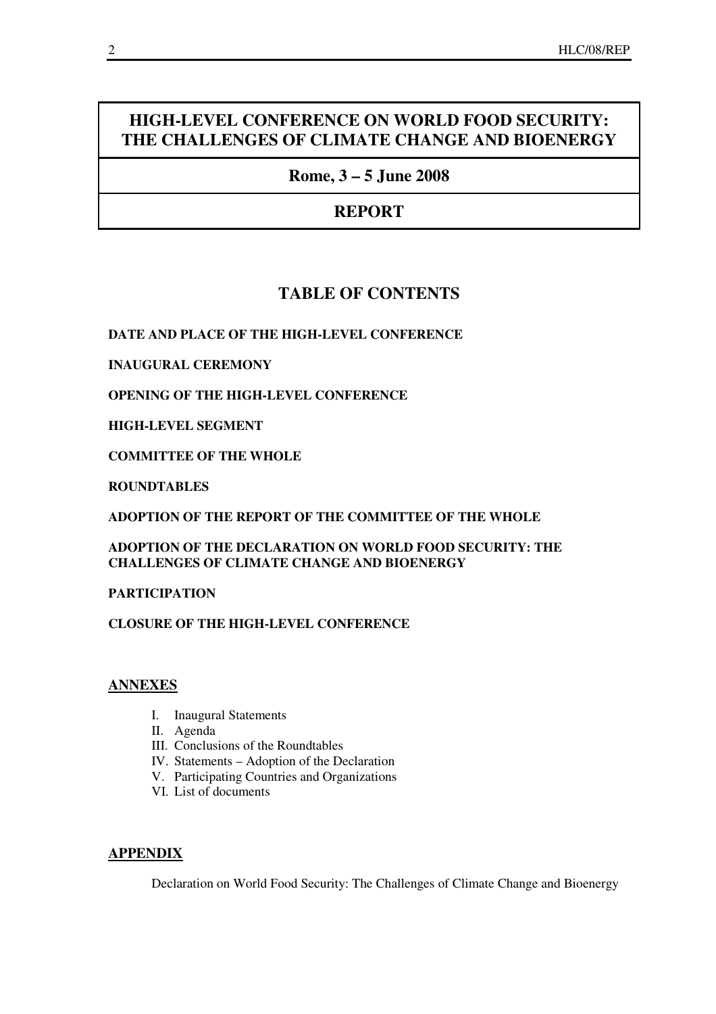# **HIGH-LEVEL CONFERENCE ON WORLD FOOD SECURITY: THE CHALLENGES OF CLIMATE CHANGE AND BIOENERGY**

# **Rome, 3 – 5 June 2008**

# **REPORT**

# **TABLE OF CONTENTS**

**DATE AND PLACE OF THE HIGH-LEVEL CONFERENCE** 

**INAUGURAL CEREMONY** 

**OPENING OF THE HIGH-LEVEL CONFERENCE** 

**HIGH-LEVEL SEGMENT** 

**COMMITTEE OF THE WHOLE** 

**ROUNDTABLES** 

**ADOPTION OF THE REPORT OF THE COMMITTEE OF THE WHOLE** 

**ADOPTION OF THE DECLARATION ON WORLD FOOD SECURITY: THE CHALLENGES OF CLIMATE CHANGE AND BIOENERGY** 

# **PARTICIPATION**

# **CLOSURE OF THE HIGH-LEVEL CONFERENCE**

# **ANNEXES**

- I. Inaugural Statements
- II. Agenda
- III. Conclusions of the Roundtables
- IV. Statements Adoption of the Declaration
- V. Participating Countries and Organizations
- VI. List of documents

# **APPENDIX**

Declaration on World Food Security: The Challenges of Climate Change and Bioenergy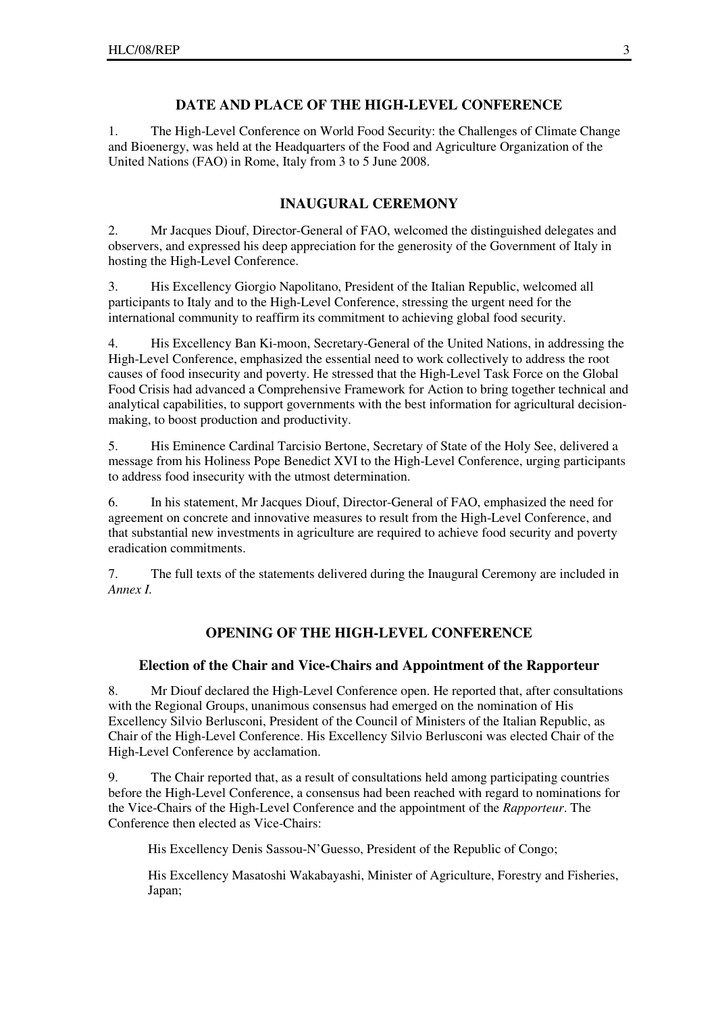# **DATE AND PLACE OF THE HIGH-LEVEL CONFERENCE**

1. The High-Level Conference on World Food Security: the Challenges of Climate Change and Bioenergy, was held at the Headquarters of the Food and Agriculture Organization of the United Nations (FAO) in Rome, Italy from 3 to 5 June 2008.

# **INAUGURAL CEREMONY**

2. Mr Jacques Diouf, Director-General of FAO, welcomed the distinguished delegates and observers, and expressed his deep appreciation for the generosity of the Government of Italy in hosting the High-Level Conference.

3. His Excellency Giorgio Napolitano, President of the Italian Republic, welcomed all participants to Italy and to the High-Level Conference, stressing the urgent need for the international community to reaffirm its commitment to achieving global food security.

4. His Excellency Ban Ki-moon, Secretary-General of the United Nations, in addressing the High-Level Conference, emphasized the essential need to work collectively to address the root causes of food insecurity and poverty. He stressed that the High-Level Task Force on the Global Food Crisis had advanced a Comprehensive Framework for Action to bring together technical and analytical capabilities, to support governments with the best information for agricultural decisionmaking, to boost production and productivity.

5. His Eminence Cardinal Tarcisio Bertone, Secretary of State of the Holy See, delivered a message from his Holiness Pope Benedict XVI to the High-Level Conference, urging participants to address food insecurity with the utmost determination.

6. In his statement, Mr Jacques Diouf, Director-General of FAO, emphasized the need for agreement on concrete and innovative measures to result from the High-Level Conference, and that substantial new investments in agriculture are required to achieve food security and poverty eradication commitments.

7. The full texts of the statements delivered during the Inaugural Ceremony are included in *Annex I.* 

# **OPENING OF THE HIGH-LEVEL CONFERENCE**

# **Election of the Chair and Vice-Chairs and Appointment of the Rapporteur**

8. Mr Diouf declared the High-Level Conference open. He reported that, after consultations with the Regional Groups, unanimous consensus had emerged on the nomination of His Excellency Silvio Berlusconi, President of the Council of Ministers of the Italian Republic, as Chair of the High-Level Conference. His Excellency Silvio Berlusconi was elected Chair of the High-Level Conference by acclamation.

9. The Chair reported that, as a result of consultations held among participating countries before the High-Level Conference, a consensus had been reached with regard to nominations for the Vice-Chairs of the High-Level Conference and the appointment of the *Rapporteur*. The Conference then elected as Vice-Chairs:

His Excellency Denis Sassou-N'Guesso, President of the Republic of Congo;

His Excellency Masatoshi Wakabayashi, Minister of Agriculture, Forestry and Fisheries, Japan;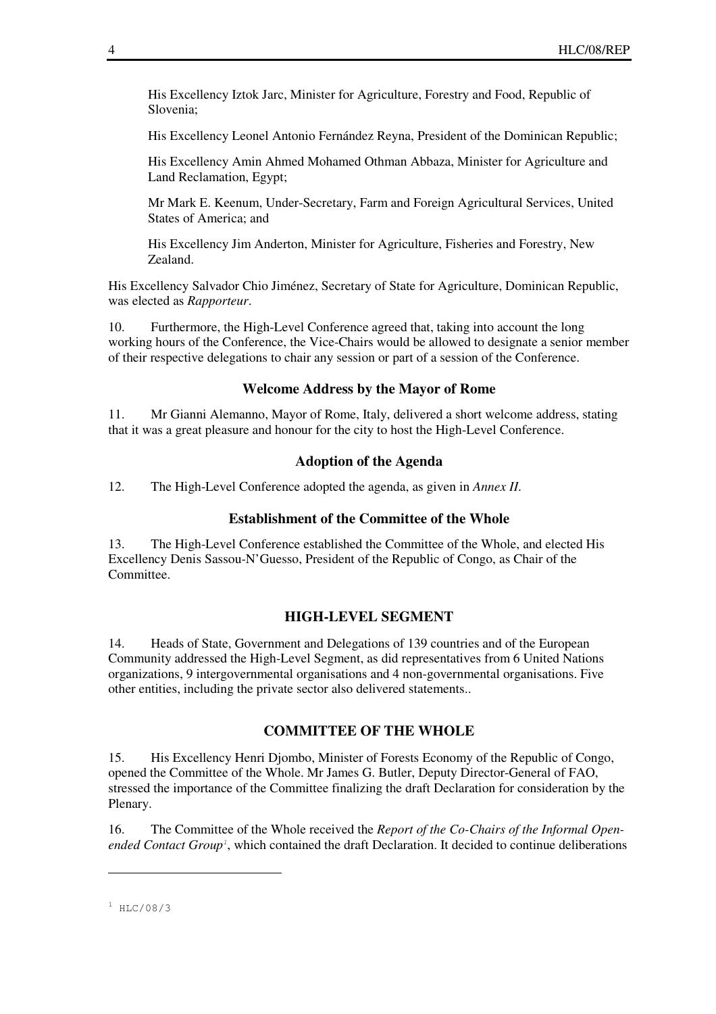His Excellency Iztok Jarc, Minister for Agriculture, Forestry and Food, Republic of Slovenia;

His Excellency Leonel Antonio Fernández Reyna, President of the Dominican Republic;

His Excellency Amin Ahmed Mohamed Othman Abbaza, Minister for Agriculture and Land Reclamation, Egypt;

Mr Mark E. Keenum, Under-Secretary, Farm and Foreign Agricultural Services, United States of America; and

His Excellency Jim Anderton, Minister for Agriculture, Fisheries and Forestry, New Zealand.

His Excellency Salvador Chio Jiménez, Secretary of State for Agriculture, Dominican Republic, was elected as *Rapporteur*.

10. Furthermore, the High-Level Conference agreed that, taking into account the long working hours of the Conference, the Vice-Chairs would be allowed to designate a senior member of their respective delegations to chair any session or part of a session of the Conference.

#### **Welcome Address by the Mayor of Rome**

11. Mr Gianni Alemanno, Mayor of Rome, Italy, delivered a short welcome address, stating that it was a great pleasure and honour for the city to host the High-Level Conference.

### **Adoption of the Agenda**

12. The High-Level Conference adopted the agenda, as given in *Annex II*.

### **Establishment of the Committee of the Whole**

13. The High-Level Conference established the Committee of the Whole, and elected His Excellency Denis Sassou-N'Guesso, President of the Republic of Congo, as Chair of the Committee.

### **HIGH-LEVEL SEGMENT**

14. Heads of State, Government and Delegations of 139 countries and of the European Community addressed the High-Level Segment, as did representatives from 6 United Nations organizations, 9 intergovernmental organisations and 4 non-governmental organisations. Five other entities, including the private sector also delivered statements..

# **COMMITTEE OF THE WHOLE**

15. His Excellency Henri Djombo, Minister of Forests Economy of the Republic of Congo, opened the Committee of the Whole. Mr James G. Butler, Deputy Director-General of FAO, stressed the importance of the Committee finalizing the draft Declaration for consideration by the Plenary.

16. The Committee of the Whole received the *Report of the Co-Chairs of the Informal Open*ended Contact Group<sup>1</sup>, which contained the draft Declaration. It decided to continue deliberations

L,

 $1$  HLC/08/3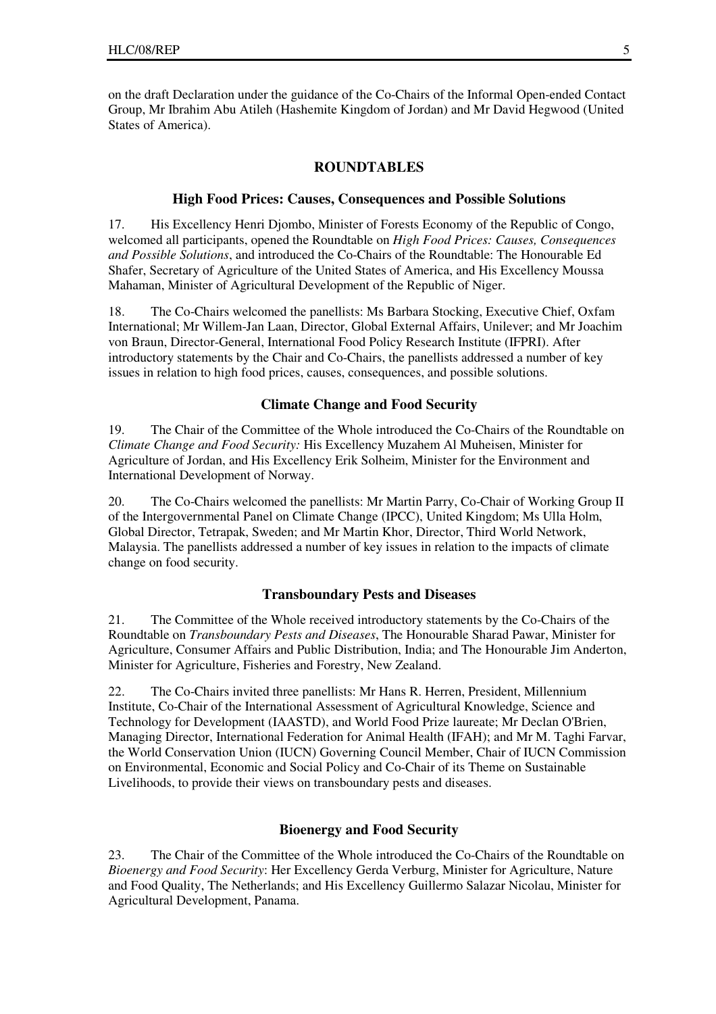on the draft Declaration under the guidance of the Co-Chairs of the Informal Open-ended Contact Group, Mr Ibrahim Abu Atileh (Hashemite Kingdom of Jordan) and Mr David Hegwood (United States of America).

# **ROUNDTABLES**

### **High Food Prices: Causes, Consequences and Possible Solutions**

17. His Excellency Henri Djombo, Minister of Forests Economy of the Republic of Congo, welcomed all participants, opened the Roundtable on *High Food Prices: Causes, Consequences and Possible Solutions*, and introduced the Co-Chairs of the Roundtable: The Honourable Ed Shafer, Secretary of Agriculture of the United States of America, and His Excellency Moussa Mahaman, Minister of Agricultural Development of the Republic of Niger.

18. The Co-Chairs welcomed the panellists: Ms Barbara Stocking, Executive Chief, Oxfam International; Mr Willem-Jan Laan, Director, Global External Affairs, Unilever; and Mr Joachim von Braun, Director-General, International Food Policy Research Institute (IFPRI). After introductory statements by the Chair and Co-Chairs, the panellists addressed a number of key issues in relation to high food prices, causes, consequences, and possible solutions.

### **Climate Change and Food Security**

19. The Chair of the Committee of the Whole introduced the Co-Chairs of the Roundtable on *Climate Change and Food Security:* His Excellency Muzahem Al Muheisen, Minister for Agriculture of Jordan, and His Excellency Erik Solheim, Minister for the Environment and International Development of Norway.

20. The Co-Chairs welcomed the panellists: Mr Martin Parry, Co-Chair of Working Group II of the Intergovernmental Panel on Climate Change (IPCC), United Kingdom; Ms Ulla Holm, Global Director, Tetrapak, Sweden; and Mr Martin Khor, Director, Third World Network, Malaysia. The panellists addressed a number of key issues in relation to the impacts of climate change on food security.

## **Transboundary Pests and Diseases**

21. The Committee of the Whole received introductory statements by the Co-Chairs of the Roundtable on *Transboundary Pests and Diseases*, The Honourable Sharad Pawar, Minister for Agriculture, Consumer Affairs and Public Distribution, India; and The Honourable Jim Anderton, Minister for Agriculture, Fisheries and Forestry, New Zealand.

22. The Co-Chairs invited three panellists: Mr Hans R. Herren, President, Millennium Institute, Co-Chair of the International Assessment of Agricultural Knowledge, Science and Technology for Development (IAASTD), and World Food Prize laureate; Mr Declan O'Brien, Managing Director, International Federation for Animal Health (IFAH); and Mr M. Taghi Farvar, the World Conservation Union (IUCN) Governing Council Member, Chair of IUCN Commission on Environmental, Economic and Social Policy and Co-Chair of its Theme on Sustainable Livelihoods, to provide their views on transboundary pests and diseases.

# **Bioenergy and Food Security**

23. The Chair of the Committee of the Whole introduced the Co-Chairs of the Roundtable on *Bioenergy and Food Security*: Her Excellency Gerda Verburg, Minister for Agriculture, Nature and Food Quality, The Netherlands; and His Excellency Guillermo Salazar Nicolau, Minister for Agricultural Development, Panama.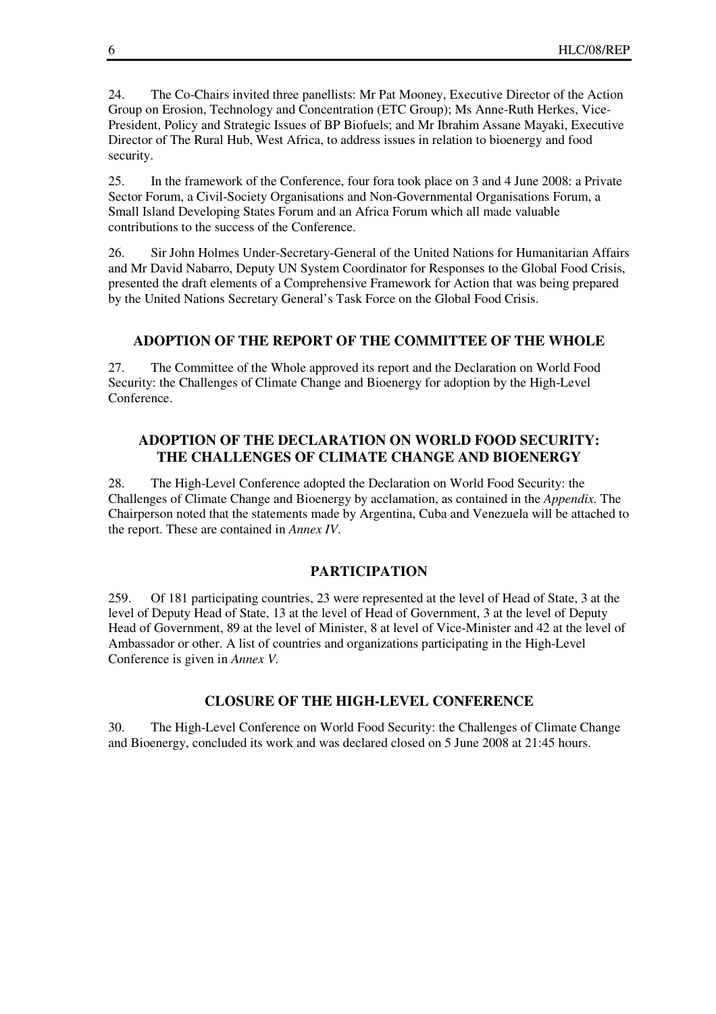24. The Co-Chairs invited three panellists: Mr Pat Mooney, Executive Director of the Action Group on Erosion, Technology and Concentration (ETC Group); Ms Anne-Ruth Herkes, Vice-President, Policy and Strategic Issues of BP Biofuels; and Mr Ibrahim Assane Mayaki, Executive Director of The Rural Hub, West Africa, to address issues in relation to bioenergy and food security.

25. In the framework of the Conference, four fora took place on 3 and 4 June 2008: a Private Sector Forum, a Civil-Society Organisations and Non-Governmental Organisations Forum, a Small Island Developing States Forum and an Africa Forum which all made valuable contributions to the success of the Conference.

26. Sir John Holmes Under-Secretary-General of the United Nations for Humanitarian Affairs and Mr David Nabarro, Deputy UN System Coordinator for Responses to the Global Food Crisis, presented the draft elements of a Comprehensive Framework for Action that was being prepared by the United Nations Secretary General's Task Force on the Global Food Crisis.

# **ADOPTION OF THE REPORT OF THE COMMITTEE OF THE WHOLE**

27. The Committee of the Whole approved its report and the Declaration on World Food Security: the Challenges of Climate Change and Bioenergy for adoption by the High-Level Conference.

# **ADOPTION OF THE DECLARATION ON WORLD FOOD SECURITY: THE CHALLENGES OF CLIMATE CHANGE AND BIOENERGY**

28. The High-Level Conference adopted the Declaration on World Food Security: the Challenges of Climate Change and Bioenergy by acclamation, as contained in the *Appendix.* The Chairperson noted that the statements made by Argentina, Cuba and Venezuela will be attached to the report. These are contained in *Annex IV*.

### **PARTICIPATION**

259. Of 181 participating countries, 23 were represented at the level of Head of State, 3 at the level of Deputy Head of State, 13 at the level of Head of Government, 3 at the level of Deputy Head of Government, 89 at the level of Minister, 8 at level of Vice-Minister and 42 at the level of Ambassador or other. A list of countries and organizations participating in the High-Level Conference is given in *Annex V.* 

### **CLOSURE OF THE HIGH-LEVEL CONFERENCE**

30. The High-Level Conference on World Food Security: the Challenges of Climate Change and Bioenergy, concluded its work and was declared closed on 5 June 2008 at 21:45 hours.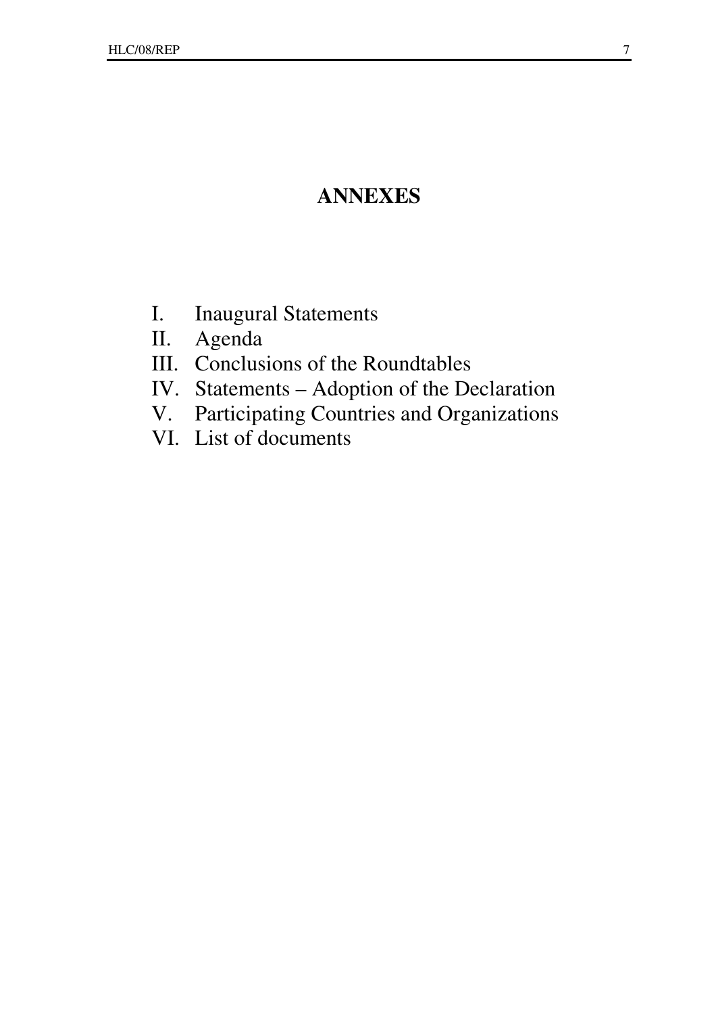# **ANNEXES**

- I. Inaugural Statements
- II. Agenda
- III. Conclusions of the Roundtables
- IV. Statements Adoption of the Declaration
- V. Participating Countries and Organizations
- VI. List of documents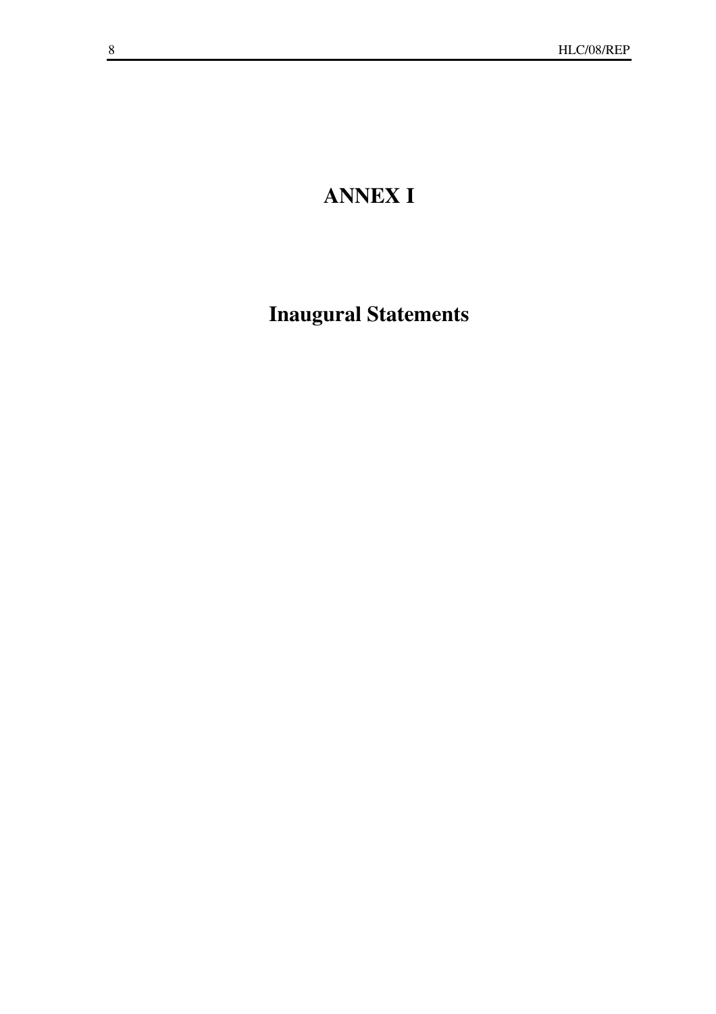# **ANNEX I**

# **Inaugural Statements**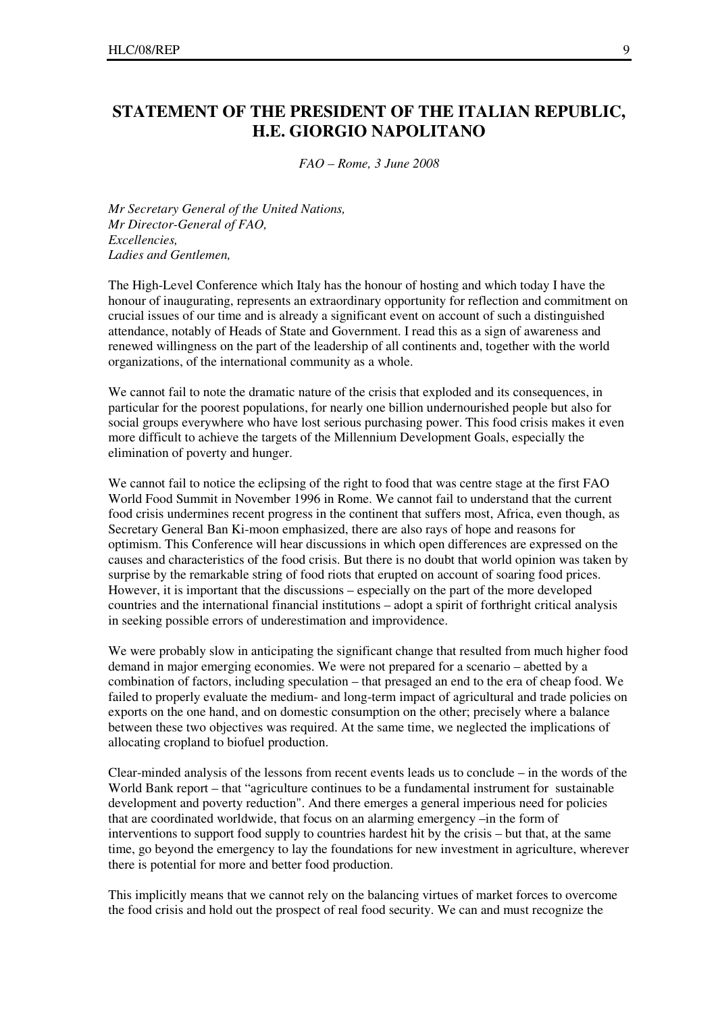# **STATEMENT OF THE PRESIDENT OF THE ITALIAN REPUBLIC, H.E. GIORGIO NAPOLITANO**

*FAO – Rome, 3 June 2008* 

*Mr Secretary General of the United Nations, Mr Director-General of FAO, Excellencies, Ladies and Gentlemen,*

The High-Level Conference which Italy has the honour of hosting and which today I have the honour of inaugurating, represents an extraordinary opportunity for reflection and commitment on crucial issues of our time and is already a significant event on account of such a distinguished attendance, notably of Heads of State and Government. I read this as a sign of awareness and renewed willingness on the part of the leadership of all continents and, together with the world organizations, of the international community as a whole.

We cannot fail to note the dramatic nature of the crisis that exploded and its consequences, in particular for the poorest populations, for nearly one billion undernourished people but also for social groups everywhere who have lost serious purchasing power. This food crisis makes it even more difficult to achieve the targets of the Millennium Development Goals, especially the elimination of poverty and hunger.

We cannot fail to notice the eclipsing of the right to food that was centre stage at the first FAO World Food Summit in November 1996 in Rome. We cannot fail to understand that the current food crisis undermines recent progress in the continent that suffers most, Africa, even though, as Secretary General Ban Ki-moon emphasized, there are also rays of hope and reasons for optimism. This Conference will hear discussions in which open differences are expressed on the causes and characteristics of the food crisis. But there is no doubt that world opinion was taken by surprise by the remarkable string of food riots that erupted on account of soaring food prices. However, it is important that the discussions – especially on the part of the more developed countries and the international financial institutions – adopt a spirit of forthright critical analysis in seeking possible errors of underestimation and improvidence.

We were probably slow in anticipating the significant change that resulted from much higher food demand in major emerging economies. We were not prepared for a scenario – abetted by a combination of factors, including speculation – that presaged an end to the era of cheap food. We failed to properly evaluate the medium- and long-term impact of agricultural and trade policies on exports on the one hand, and on domestic consumption on the other; precisely where a balance between these two objectives was required. At the same time, we neglected the implications of allocating cropland to biofuel production.

Clear-minded analysis of the lessons from recent events leads us to conclude – in the words of the World Bank report – that "agriculture continues to be a fundamental instrument for sustainable development and poverty reduction". And there emerges a general imperious need for policies that are coordinated worldwide, that focus on an alarming emergency –in the form of interventions to support food supply to countries hardest hit by the crisis – but that, at the same time, go beyond the emergency to lay the foundations for new investment in agriculture, wherever there is potential for more and better food production.

This implicitly means that we cannot rely on the balancing virtues of market forces to overcome the food crisis and hold out the prospect of real food security. We can and must recognize the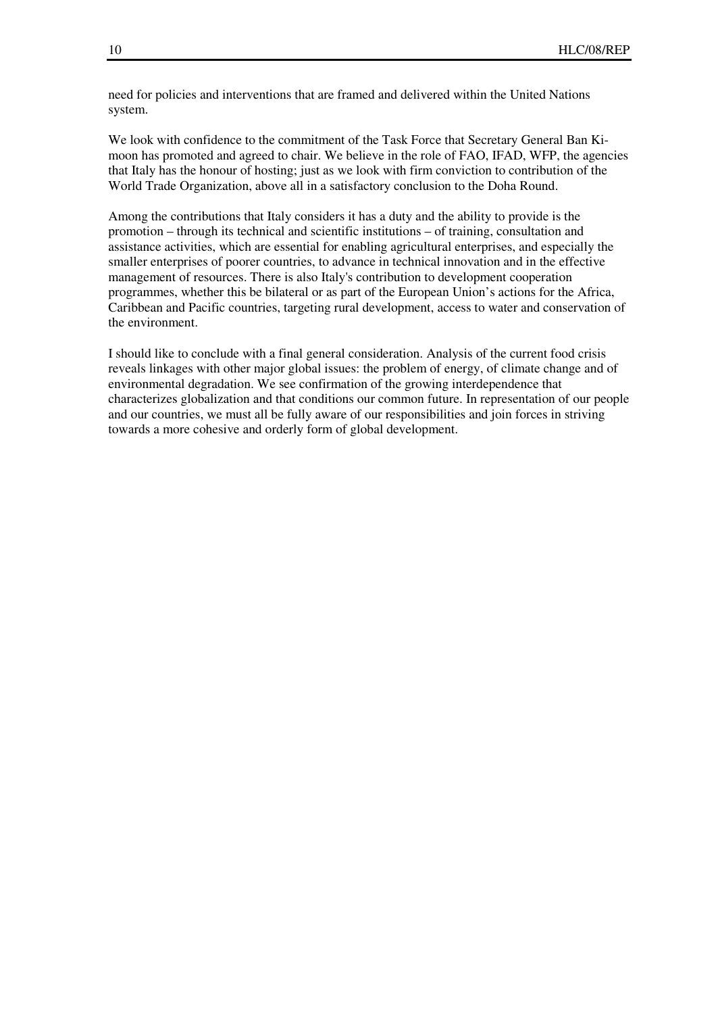need for policies and interventions that are framed and delivered within the United Nations system.

We look with confidence to the commitment of the Task Force that Secretary General Ban Kimoon has promoted and agreed to chair. We believe in the role of FAO, IFAD, WFP, the agencies that Italy has the honour of hosting; just as we look with firm conviction to contribution of the World Trade Organization, above all in a satisfactory conclusion to the Doha Round.

Among the contributions that Italy considers it has a duty and the ability to provide is the promotion – through its technical and scientific institutions – of training, consultation and assistance activities, which are essential for enabling agricultural enterprises, and especially the smaller enterprises of poorer countries, to advance in technical innovation and in the effective management of resources. There is also Italy's contribution to development cooperation programmes, whether this be bilateral or as part of the European Union's actions for the Africa, Caribbean and Pacific countries, targeting rural development, access to water and conservation of the environment.

I should like to conclude with a final general consideration. Analysis of the current food crisis reveals linkages with other major global issues: the problem of energy, of climate change and of environmental degradation. We see confirmation of the growing interdependence that characterizes globalization and that conditions our common future. In representation of our people and our countries, we must all be fully aware of our responsibilities and join forces in striving towards a more cohesive and orderly form of global development.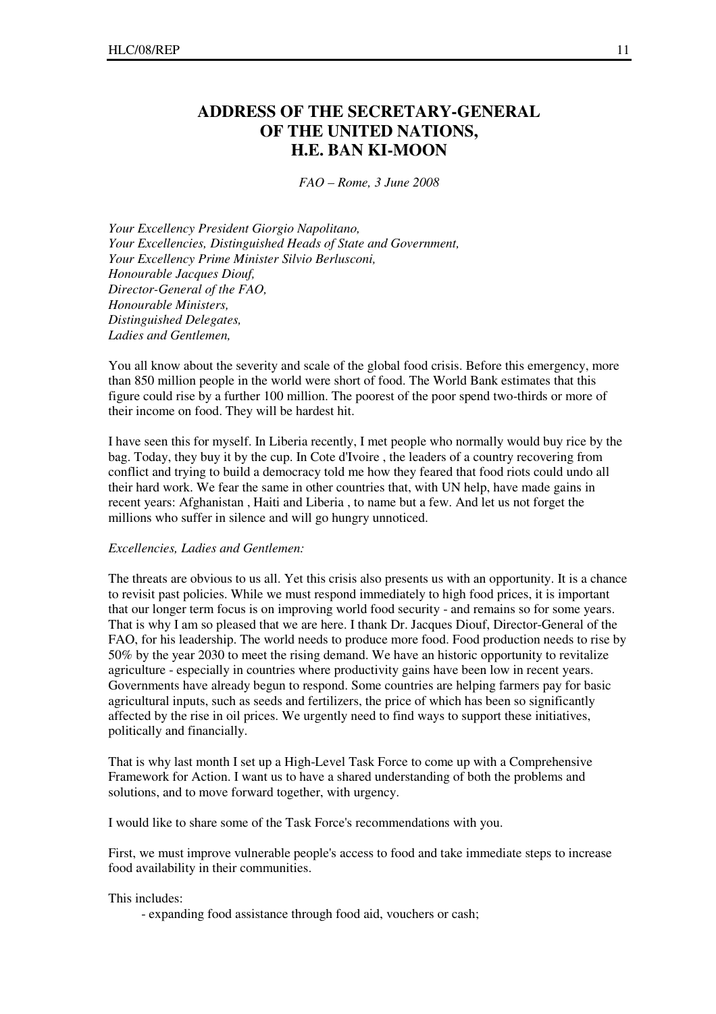# **ADDRESS OF THE SECRETARY-GENERAL OF THE UNITED NATIONS, H.E. BAN KI-MOON**

*FAO – Rome, 3 June 2008* 

*Your Excellency President Giorgio Napolitano, Your Excellencies, Distinguished Heads of State and Government, Your Excellency Prime Minister Silvio Berlusconi, Honourable Jacques Diouf, Director-General of the FAO, Honourable Ministers, Distinguished Delegates, Ladies and Gentlemen,* 

You all know about the severity and scale of the global food crisis. Before this emergency, more than 850 million people in the world were short of food. The World Bank estimates that this figure could rise by a further 100 million. The poorest of the poor spend two-thirds or more of their income on food. They will be hardest hit.

I have seen this for myself. In Liberia recently, I met people who normally would buy rice by the bag. Today, they buy it by the cup. In Cote d'Ivoire , the leaders of a country recovering from conflict and trying to build a democracy told me how they feared that food riots could undo all their hard work. We fear the same in other countries that, with UN help, have made gains in recent years: Afghanistan , Haiti and Liberia , to name but a few. And let us not forget the millions who suffer in silence and will go hungry unnoticed.

#### *Excellencies, Ladies and Gentlemen:*

The threats are obvious to us all. Yet this crisis also presents us with an opportunity. It is a chance to revisit past policies. While we must respond immediately to high food prices, it is important that our longer term focus is on improving world food security - and remains so for some years. That is why I am so pleased that we are here. I thank Dr. Jacques Diouf, Director-General of the FAO, for his leadership. The world needs to produce more food. Food production needs to rise by 50% by the year 2030 to meet the rising demand. We have an historic opportunity to revitalize agriculture - especially in countries where productivity gains have been low in recent years. Governments have already begun to respond. Some countries are helping farmers pay for basic agricultural inputs, such as seeds and fertilizers, the price of which has been so significantly affected by the rise in oil prices. We urgently need to find ways to support these initiatives, politically and financially.

That is why last month I set up a High-Level Task Force to come up with a Comprehensive Framework for Action. I want us to have a shared understanding of both the problems and solutions, and to move forward together, with urgency.

I would like to share some of the Task Force's recommendations with you.

First, we must improve vulnerable people's access to food and take immediate steps to increase food availability in their communities.

#### This includes:

- expanding food assistance through food aid, vouchers or cash;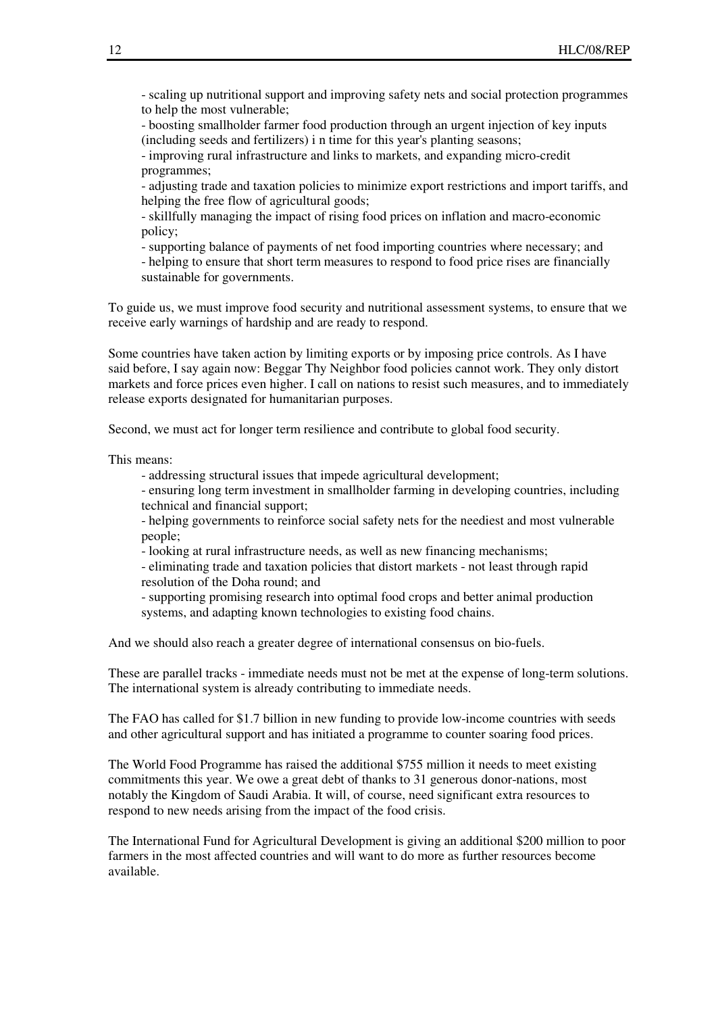- scaling up nutritional support and improving safety nets and social protection programmes to help the most vulnerable;

- boosting smallholder farmer food production through an urgent injection of key inputs (including seeds and fertilizers) i n time for this year's planting seasons;

- improving rural infrastructure and links to markets, and expanding micro-credit programmes;

- adjusting trade and taxation policies to minimize export restrictions and import tariffs, and helping the free flow of agricultural goods;

- skillfully managing the impact of rising food prices on inflation and macro-economic policy;

- supporting balance of payments of net food importing countries where necessary; and

- helping to ensure that short term measures to respond to food price rises are financially sustainable for governments.

To guide us, we must improve food security and nutritional assessment systems, to ensure that we receive early warnings of hardship and are ready to respond.

Some countries have taken action by limiting exports or by imposing price controls. As I have said before, I say again now: Beggar Thy Neighbor food policies cannot work. They only distort markets and force prices even higher. I call on nations to resist such measures, and to immediately release exports designated for humanitarian purposes.

Second, we must act for longer term resilience and contribute to global food security.

This means:

- addressing structural issues that impede agricultural development;

- ensuring long term investment in smallholder farming in developing countries, including technical and financial support;

- helping governments to reinforce social safety nets for the neediest and most vulnerable people;

- looking at rural infrastructure needs, as well as new financing mechanisms;

- eliminating trade and taxation policies that distort markets - not least through rapid resolution of the Doha round; and

- supporting promising research into optimal food crops and better animal production systems, and adapting known technologies to existing food chains.

And we should also reach a greater degree of international consensus on bio-fuels.

These are parallel tracks - immediate needs must not be met at the expense of long-term solutions. The international system is already contributing to immediate needs.

The FAO has called for \$1.7 billion in new funding to provide low-income countries with seeds and other agricultural support and has initiated a programme to counter soaring food prices.

The World Food Programme has raised the additional \$755 million it needs to meet existing commitments this year. We owe a great debt of thanks to 31 generous donor-nations, most notably the Kingdom of Saudi Arabia. It will, of course, need significant extra resources to respond to new needs arising from the impact of the food crisis.

The International Fund for Agricultural Development is giving an additional \$200 million to poor farmers in the most affected countries and will want to do more as further resources become available.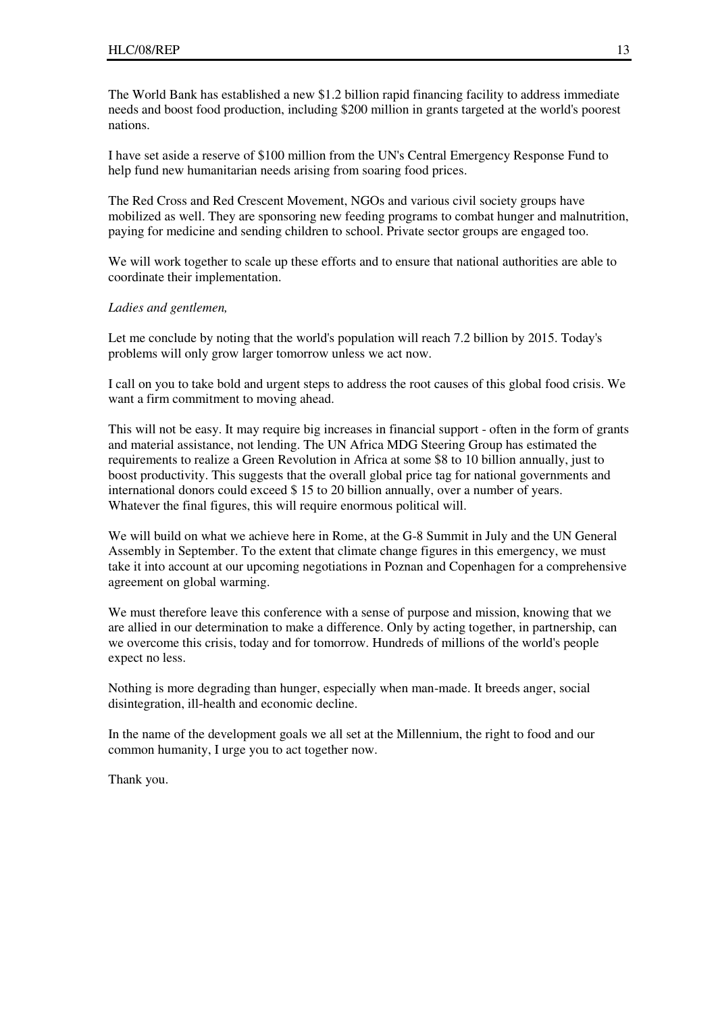The World Bank has established a new \$1.2 billion rapid financing facility to address immediate needs and boost food production, including \$200 million in grants targeted at the world's poorest nations.

I have set aside a reserve of \$100 million from the UN's Central Emergency Response Fund to help fund new humanitarian needs arising from soaring food prices.

The Red Cross and Red Crescent Movement, NGOs and various civil society groups have mobilized as well. They are sponsoring new feeding programs to combat hunger and malnutrition, paying for medicine and sending children to school. Private sector groups are engaged too.

We will work together to scale up these efforts and to ensure that national authorities are able to coordinate their implementation.

#### *Ladies and gentlemen,*

Let me conclude by noting that the world's population will reach 7.2 billion by 2015. Today's problems will only grow larger tomorrow unless we act now.

I call on you to take bold and urgent steps to address the root causes of this global food crisis. We want a firm commitment to moving ahead.

This will not be easy. It may require big increases in financial support - often in the form of grants and material assistance, not lending. The UN Africa MDG Steering Group has estimated the requirements to realize a Green Revolution in Africa at some \$8 to 10 billion annually, just to boost productivity. This suggests that the overall global price tag for national governments and international donors could exceed \$ 15 to 20 billion annually, over a number of years. Whatever the final figures, this will require enormous political will.

We will build on what we achieve here in Rome, at the G-8 Summit in July and the UN General Assembly in September. To the extent that climate change figures in this emergency, we must take it into account at our upcoming negotiations in Poznan and Copenhagen for a comprehensive agreement on global warming.

We must therefore leave this conference with a sense of purpose and mission, knowing that we are allied in our determination to make a difference. Only by acting together, in partnership, can we overcome this crisis, today and for tomorrow. Hundreds of millions of the world's people expect no less.

Nothing is more degrading than hunger, especially when man-made. It breeds anger, social disintegration, ill-health and economic decline.

In the name of the development goals we all set at the Millennium, the right to food and our common humanity, I urge you to act together now.

Thank you.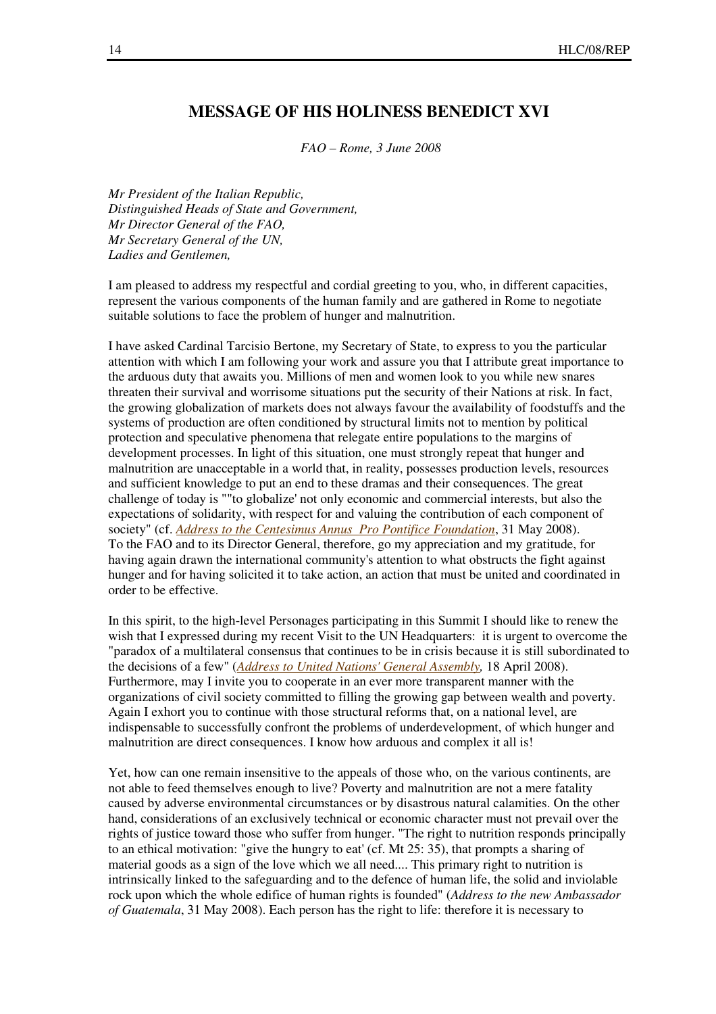# **MESSAGE OF HIS HOLINESS BENEDICT XVI**

*FAO – Rome, 3 June 2008* 

*Mr President of the Italian Republic, Distinguished Heads of State and Government, Mr Director General of the FAO, Mr Secretary General of the UN, Ladies and Gentlemen,* 

I am pleased to address my respectful and cordial greeting to you, who, in different capacities, represent the various components of the human family and are gathered in Rome to negotiate suitable solutions to face the problem of hunger and malnutrition.

I have asked Cardinal Tarcisio Bertone, my Secretary of State, to express to you the particular attention with which I am following your work and assure you that I attribute great importance to the arduous duty that awaits you. Millions of men and women look to you while new snares threaten their survival and worrisome situations put the security of their Nations at risk. In fact, the growing globalization of markets does not always favour the availability of foodstuffs and the systems of production are often conditioned by structural limits not to mention by political protection and speculative phenomena that relegate entire populations to the margins of development processes. In light of this situation, one must strongly repeat that hunger and malnutrition are unacceptable in a world that, in reality, possesses production levels, resources and sufficient knowledge to put an end to these dramas and their consequences. The great challenge of today is ""to globalize' not only economic and commercial interests, but also the expectations of solidarity, with respect for and valuing the contribution of each component of society" (cf. *Address to the Centesimus Annus Pro Pontifice Foundation*, 31 May 2008). To the FAO and to its Director General, therefore, go my appreciation and my gratitude, for having again drawn the international community's attention to what obstructs the fight against hunger and for having solicited it to take action, an action that must be united and coordinated in order to be effective.

In this spirit, to the high-level Personages participating in this Summit I should like to renew the wish that I expressed during my recent Visit to the UN Headquarters: it is urgent to overcome the "paradox of a multilateral consensus that continues to be in crisis because it is still subordinated to the decisions of a few" (*Address to United Nations' General Assembly,* 18 April 2008). Furthermore, may I invite you to cooperate in an ever more transparent manner with the organizations of civil society committed to filling the growing gap between wealth and poverty. Again I exhort you to continue with those structural reforms that, on a national level, are indispensable to successfully confront the problems of underdevelopment, of which hunger and malnutrition are direct consequences. I know how arduous and complex it all is!

Yet, how can one remain insensitive to the appeals of those who, on the various continents, are not able to feed themselves enough to live? Poverty and malnutrition are not a mere fatality caused by adverse environmental circumstances or by disastrous natural calamities. On the other hand, considerations of an exclusively technical or economic character must not prevail over the rights of justice toward those who suffer from hunger. "The right to nutrition responds principally to an ethical motivation: "give the hungry to eat' (cf. Mt 25: 35), that prompts a sharing of material goods as a sign of the love which we all need.... This primary right to nutrition is intrinsically linked to the safeguarding and to the defence of human life, the solid and inviolable rock upon which the whole edifice of human rights is founded" (*Address to the new Ambassador of Guatemala*, 31 May 2008). Each person has the right to life: therefore it is necessary to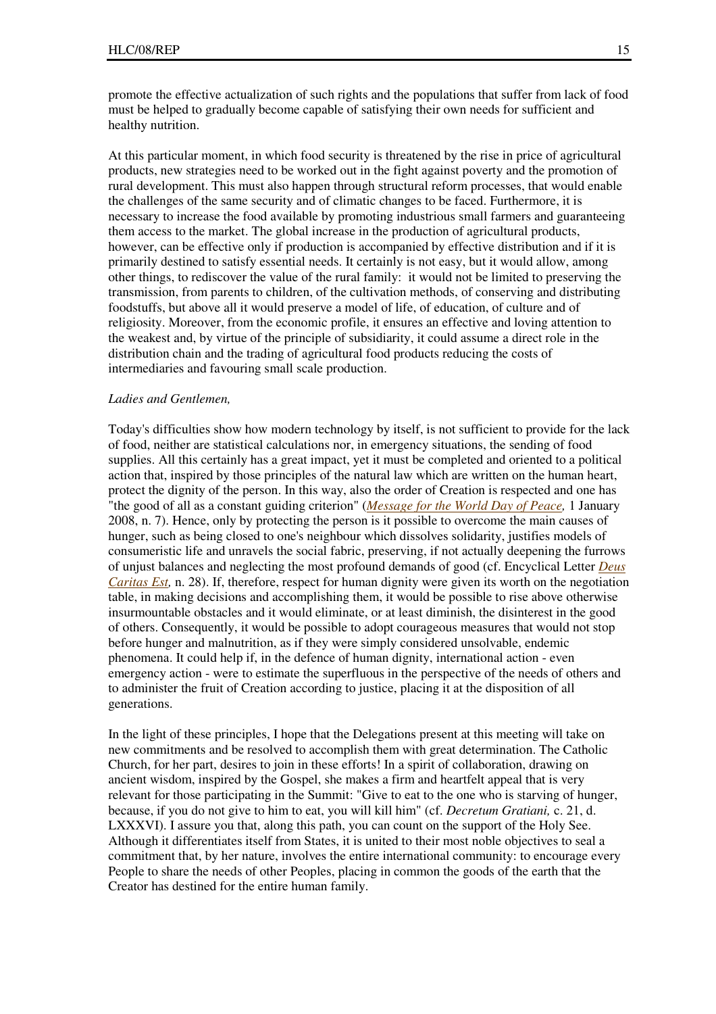promote the effective actualization of such rights and the populations that suffer from lack of food must be helped to gradually become capable of satisfying their own needs for sufficient and healthy nutrition.

At this particular moment, in which food security is threatened by the rise in price of agricultural products, new strategies need to be worked out in the fight against poverty and the promotion of rural development. This must also happen through structural reform processes, that would enable the challenges of the same security and of climatic changes to be faced. Furthermore, it is necessary to increase the food available by promoting industrious small farmers and guaranteeing them access to the market. The global increase in the production of agricultural products, however, can be effective only if production is accompanied by effective distribution and if it is primarily destined to satisfy essential needs. It certainly is not easy, but it would allow, among other things, to rediscover the value of the rural family: it would not be limited to preserving the transmission, from parents to children, of the cultivation methods, of conserving and distributing foodstuffs, but above all it would preserve a model of life, of education, of culture and of religiosity. Moreover, from the economic profile, it ensures an effective and loving attention to the weakest and, by virtue of the principle of subsidiarity, it could assume a direct role in the distribution chain and the trading of agricultural food products reducing the costs of intermediaries and favouring small scale production.

#### *Ladies and Gentlemen,*

Today's difficulties show how modern technology by itself, is not sufficient to provide for the lack of food, neither are statistical calculations nor, in emergency situations, the sending of food supplies. All this certainly has a great impact, yet it must be completed and oriented to a political action that, inspired by those principles of the natural law which are written on the human heart, protect the dignity of the person. In this way, also the order of Creation is respected and one has "the good of all as a constant guiding criterion" (*Message for the World Day of Peace,* 1 January 2008, n. 7). Hence, only by protecting the person is it possible to overcome the main causes of hunger, such as being closed to one's neighbour which dissolves solidarity, justifies models of consumeristic life and unravels the social fabric, preserving, if not actually deepening the furrows of unjust balances and neglecting the most profound demands of good (cf. Encyclical Letter *Deus Caritas Est,* n. 28). If, therefore, respect for human dignity were given its worth on the negotiation table, in making decisions and accomplishing them, it would be possible to rise above otherwise insurmountable obstacles and it would eliminate, or at least diminish, the disinterest in the good of others. Consequently, it would be possible to adopt courageous measures that would not stop before hunger and malnutrition, as if they were simply considered unsolvable, endemic phenomena. It could help if, in the defence of human dignity, international action - even emergency action - were to estimate the superfluous in the perspective of the needs of others and to administer the fruit of Creation according to justice, placing it at the disposition of all generations.

In the light of these principles, I hope that the Delegations present at this meeting will take on new commitments and be resolved to accomplish them with great determination. The Catholic Church, for her part, desires to join in these efforts! In a spirit of collaboration, drawing on ancient wisdom, inspired by the Gospel, she makes a firm and heartfelt appeal that is very relevant for those participating in the Summit: "Give to eat to the one who is starving of hunger, because, if you do not give to him to eat, you will kill him" (cf. *Decretum Gratiani,* c. 21, d. LXXXVI). I assure you that, along this path, you can count on the support of the Holy See. Although it differentiates itself from States, it is united to their most noble objectives to seal a commitment that, by her nature, involves the entire international community: to encourage every People to share the needs of other Peoples, placing in common the goods of the earth that the Creator has destined for the entire human family.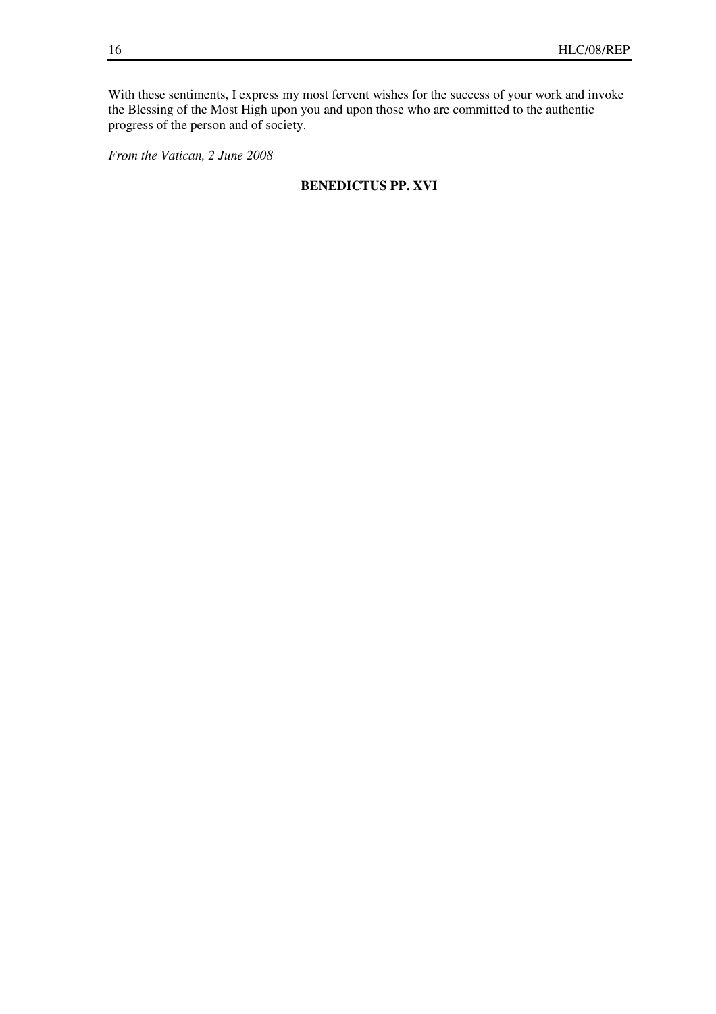With these sentiments, I express my most fervent wishes for the success of your work and invoke the Blessing of the Most High upon you and upon those who are committed to the authentic progress of the person and of society.

*From the Vatican, 2 June 2008* 

# **BENEDICTUS PP. XVI**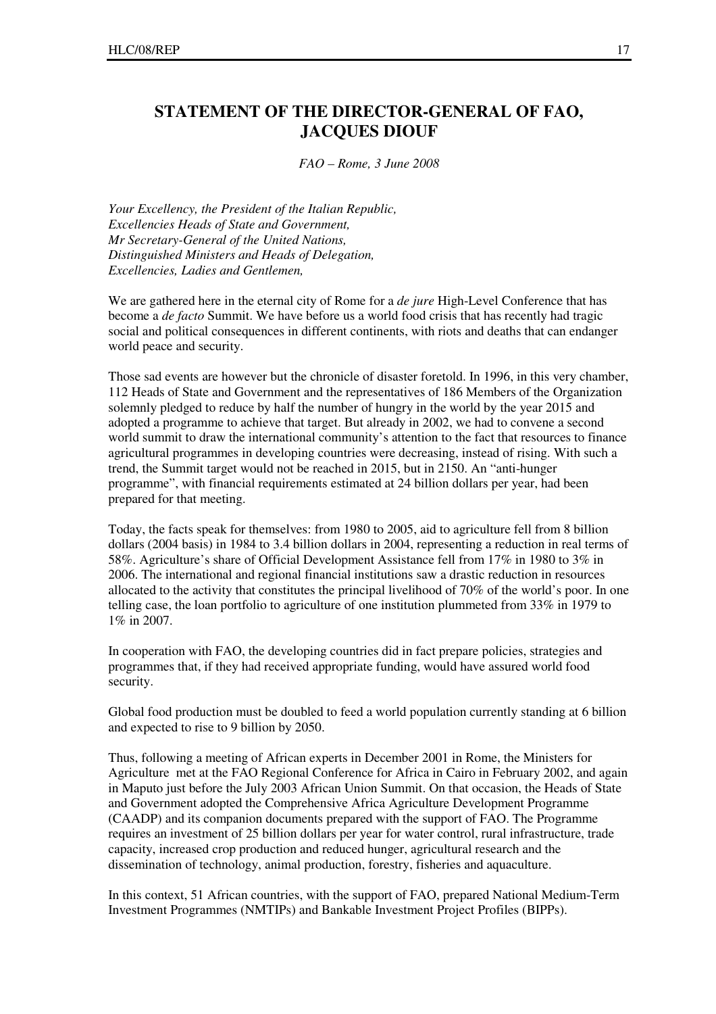# **STATEMENT OF THE DIRECTOR-GENERAL OF FAO, JACQUES DIOUF**

*FAO – Rome, 3 June 2008* 

*Your Excellency, the President of the Italian Republic, Excellencies Heads of State and Government, Mr Secretary-General of the United Nations, Distinguished Ministers and Heads of Delegation, Excellencies, Ladies and Gentlemen,*

We are gathered here in the eternal city of Rome for a *de jure* High-Level Conference that has become a *de facto* Summit. We have before us a world food crisis that has recently had tragic social and political consequences in different continents, with riots and deaths that can endanger world peace and security.

Those sad events are however but the chronicle of disaster foretold. In 1996, in this very chamber, 112 Heads of State and Government and the representatives of 186 Members of the Organization solemnly pledged to reduce by half the number of hungry in the world by the year 2015 and adopted a programme to achieve that target. But already in 2002, we had to convene a second world summit to draw the international community's attention to the fact that resources to finance agricultural programmes in developing countries were decreasing, instead of rising. With such a trend, the Summit target would not be reached in 2015, but in 2150. An "anti-hunger programme", with financial requirements estimated at 24 billion dollars per year, had been prepared for that meeting.

Today, the facts speak for themselves: from 1980 to 2005, aid to agriculture fell from 8 billion dollars (2004 basis) in 1984 to 3.4 billion dollars in 2004, representing a reduction in real terms of 58%. Agriculture's share of Official Development Assistance fell from 17% in 1980 to 3% in 2006. The international and regional financial institutions saw a drastic reduction in resources allocated to the activity that constitutes the principal livelihood of 70% of the world's poor. In one telling case, the loan portfolio to agriculture of one institution plummeted from 33% in 1979 to 1% in 2007.

In cooperation with FAO, the developing countries did in fact prepare policies, strategies and programmes that, if they had received appropriate funding, would have assured world food security.

Global food production must be doubled to feed a world population currently standing at 6 billion and expected to rise to 9 billion by 2050.

Thus, following a meeting of African experts in December 2001 in Rome, the Ministers for Agriculture met at the FAO Regional Conference for Africa in Cairo in February 2002, and again in Maputo just before the July 2003 African Union Summit. On that occasion, the Heads of State and Government adopted the Comprehensive Africa Agriculture Development Programme (CAADP) and its companion documents prepared with the support of FAO. The Programme requires an investment of 25 billion dollars per year for water control, rural infrastructure, trade capacity, increased crop production and reduced hunger, agricultural research and the dissemination of technology, animal production, forestry, fisheries and aquaculture.

In this context, 51 African countries, with the support of FAO, prepared National Medium-Term Investment Programmes (NMTIPs) and Bankable Investment Project Profiles (BIPPs).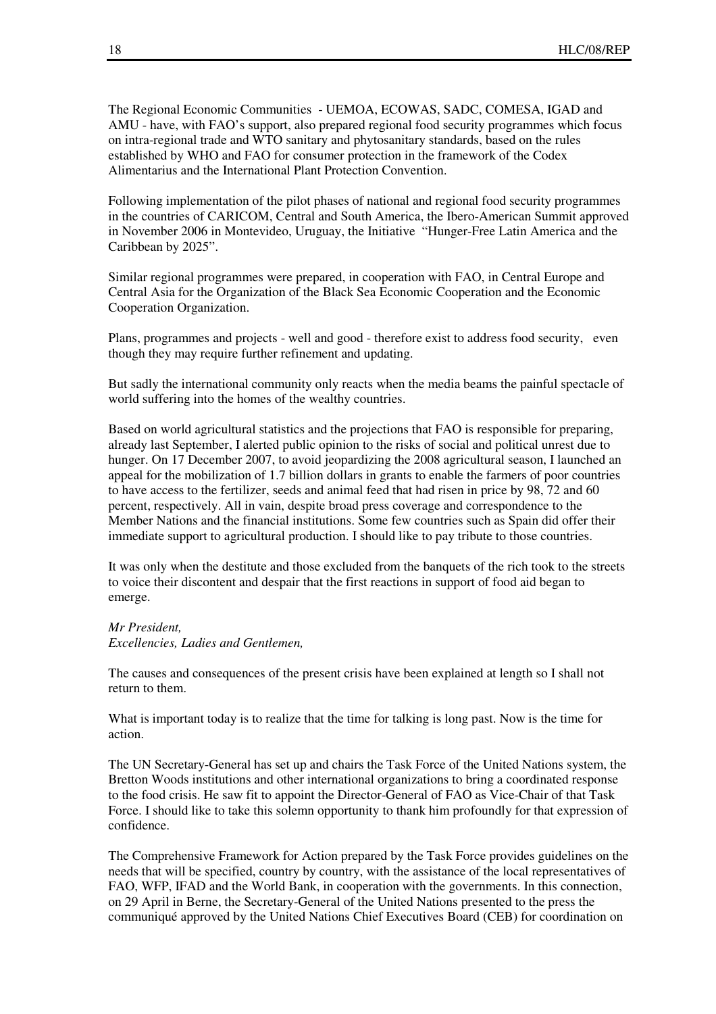The Regional Economic Communities - UEMOA, ECOWAS, SADC, COMESA, IGAD and AMU - have, with FAO's support, also prepared regional food security programmes which focus on intra-regional trade and WTO sanitary and phytosanitary standards, based on the rules established by WHO and FAO for consumer protection in the framework of the Codex Alimentarius and the International Plant Protection Convention.

Following implementation of the pilot phases of national and regional food security programmes in the countries of CARICOM, Central and South America, the Ibero-American Summit approved in November 2006 in Montevideo, Uruguay, the Initiative "Hunger-Free Latin America and the Caribbean by 2025".

Similar regional programmes were prepared, in cooperation with FAO, in Central Europe and Central Asia for the Organization of the Black Sea Economic Cooperation and the Economic Cooperation Organization.

Plans, programmes and projects - well and good - therefore exist to address food security, even though they may require further refinement and updating.

But sadly the international community only reacts when the media beams the painful spectacle of world suffering into the homes of the wealthy countries.

Based on world agricultural statistics and the projections that FAO is responsible for preparing, already last September, I alerted public opinion to the risks of social and political unrest due to hunger. On 17 December 2007, to avoid jeopardizing the 2008 agricultural season, I launched an appeal for the mobilization of 1.7 billion dollars in grants to enable the farmers of poor countries to have access to the fertilizer, seeds and animal feed that had risen in price by 98, 72 and 60 percent, respectively. All in vain, despite broad press coverage and correspondence to the Member Nations and the financial institutions. Some few countries such as Spain did offer their immediate support to agricultural production. I should like to pay tribute to those countries.

It was only when the destitute and those excluded from the banquets of the rich took to the streets to voice their discontent and despair that the first reactions in support of food aid began to emerge.

#### *Mr President,*

*Excellencies, Ladies and Gentlemen,*

The causes and consequences of the present crisis have been explained at length so I shall not return to them.

What is important today is to realize that the time for talking is long past. Now is the time for action.

The UN Secretary-General has set up and chairs the Task Force of the United Nations system, the Bretton Woods institutions and other international organizations to bring a coordinated response to the food crisis. He saw fit to appoint the Director-General of FAO as Vice-Chair of that Task Force. I should like to take this solemn opportunity to thank him profoundly for that expression of confidence.

The Comprehensive Framework for Action prepared by the Task Force provides guidelines on the needs that will be specified, country by country, with the assistance of the local representatives of FAO, WFP, IFAD and the World Bank, in cooperation with the governments. In this connection, on 29 April in Berne, the Secretary-General of the United Nations presented to the press the communiqué approved by the United Nations Chief Executives Board (CEB) for coordination on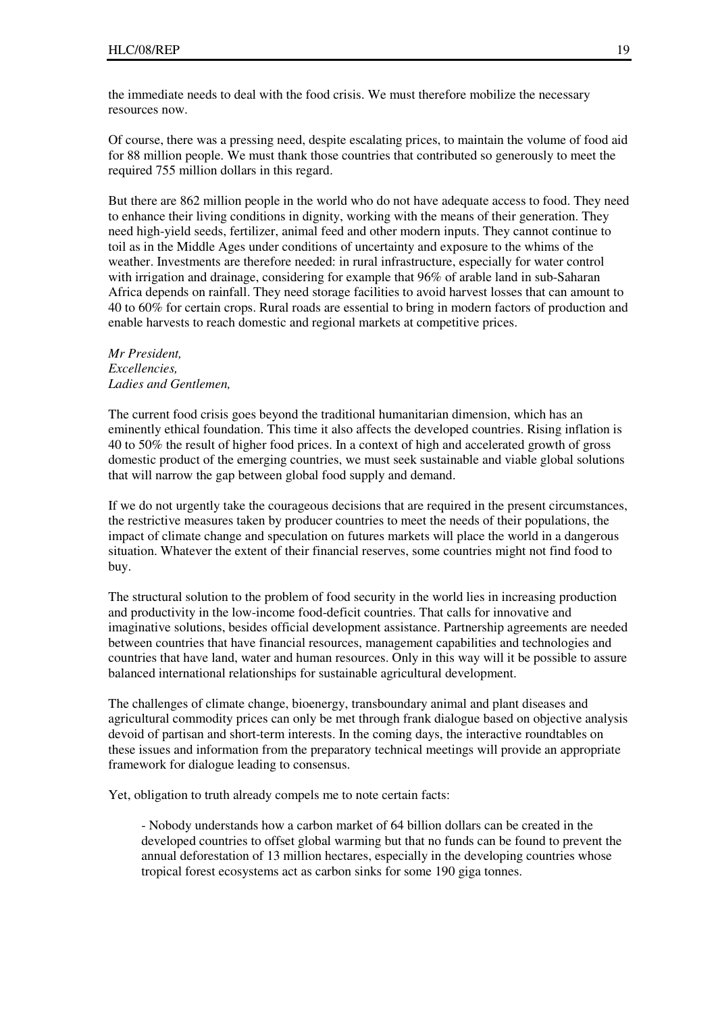the immediate needs to deal with the food crisis. We must therefore mobilize the necessary resources now.

Of course, there was a pressing need, despite escalating prices, to maintain the volume of food aid for 88 million people. We must thank those countries that contributed so generously to meet the required 755 million dollars in this regard.

But there are 862 million people in the world who do not have adequate access to food. They need to enhance their living conditions in dignity, working with the means of their generation. They need high-yield seeds, fertilizer, animal feed and other modern inputs. They cannot continue to toil as in the Middle Ages under conditions of uncertainty and exposure to the whims of the weather. Investments are therefore needed: in rural infrastructure, especially for water control with irrigation and drainage, considering for example that 96% of arable land in sub-Saharan Africa depends on rainfall. They need storage facilities to avoid harvest losses that can amount to 40 to 60% for certain crops. Rural roads are essential to bring in modern factors of production and enable harvests to reach domestic and regional markets at competitive prices.

# *Mr President, Excellencies, Ladies and Gentlemen,*

The current food crisis goes beyond the traditional humanitarian dimension, which has an eminently ethical foundation. This time it also affects the developed countries. Rising inflation is 40 to 50% the result of higher food prices. In a context of high and accelerated growth of gross domestic product of the emerging countries, we must seek sustainable and viable global solutions that will narrow the gap between global food supply and demand.

If we do not urgently take the courageous decisions that are required in the present circumstances, the restrictive measures taken by producer countries to meet the needs of their populations, the impact of climate change and speculation on futures markets will place the world in a dangerous situation. Whatever the extent of their financial reserves, some countries might not find food to buy.

The structural solution to the problem of food security in the world lies in increasing production and productivity in the low-income food-deficit countries. That calls for innovative and imaginative solutions, besides official development assistance. Partnership agreements are needed between countries that have financial resources, management capabilities and technologies and countries that have land, water and human resources. Only in this way will it be possible to assure balanced international relationships for sustainable agricultural development.

The challenges of climate change, bioenergy, transboundary animal and plant diseases and agricultural commodity prices can only be met through frank dialogue based on objective analysis devoid of partisan and short-term interests. In the coming days, the interactive roundtables on these issues and information from the preparatory technical meetings will provide an appropriate framework for dialogue leading to consensus.

Yet, obligation to truth already compels me to note certain facts:

- Nobody understands how a carbon market of 64 billion dollars can be created in the developed countries to offset global warming but that no funds can be found to prevent the annual deforestation of 13 million hectares, especially in the developing countries whose tropical forest ecosystems act as carbon sinks for some 190 giga tonnes.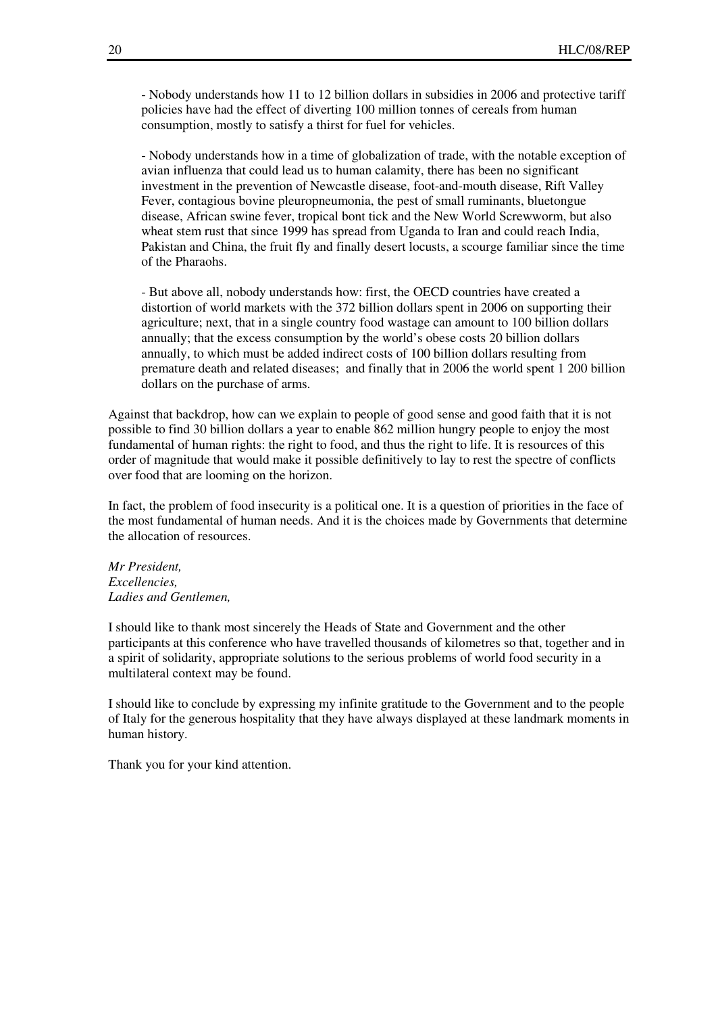- Nobody understands how 11 to 12 billion dollars in subsidies in 2006 and protective tariff policies have had the effect of diverting 100 million tonnes of cereals from human consumption, mostly to satisfy a thirst for fuel for vehicles.

- Nobody understands how in a time of globalization of trade, with the notable exception of avian influenza that could lead us to human calamity, there has been no significant investment in the prevention of Newcastle disease, foot-and-mouth disease, Rift Valley Fever, contagious bovine pleuropneumonia, the pest of small ruminants, bluetongue disease, African swine fever, tropical bont tick and the New World Screwworm, but also wheat stem rust that since 1999 has spread from Uganda to Iran and could reach India, Pakistan and China, the fruit fly and finally desert locusts, a scourge familiar since the time of the Pharaohs.

- But above all, nobody understands how: first, the OECD countries have created a distortion of world markets with the 372 billion dollars spent in 2006 on supporting their agriculture; next, that in a single country food wastage can amount to 100 billion dollars annually; that the excess consumption by the world's obese costs 20 billion dollars annually, to which must be added indirect costs of 100 billion dollars resulting from premature death and related diseases; and finally that in 2006 the world spent 1 200 billion dollars on the purchase of arms.

Against that backdrop, how can we explain to people of good sense and good faith that it is not possible to find 30 billion dollars a year to enable 862 million hungry people to enjoy the most fundamental of human rights: the right to food, and thus the right to life. It is resources of this order of magnitude that would make it possible definitively to lay to rest the spectre of conflicts over food that are looming on the horizon.

In fact, the problem of food insecurity is a political one. It is a question of priorities in the face of the most fundamental of human needs. And it is the choices made by Governments that determine the allocation of resources.

*Mr President, Excellencies, Ladies and Gentlemen,*

I should like to thank most sincerely the Heads of State and Government and the other participants at this conference who have travelled thousands of kilometres so that, together and in a spirit of solidarity, appropriate solutions to the serious problems of world food security in a multilateral context may be found.

I should like to conclude by expressing my infinite gratitude to the Government and to the people of Italy for the generous hospitality that they have always displayed at these landmark moments in human history.

Thank you for your kind attention.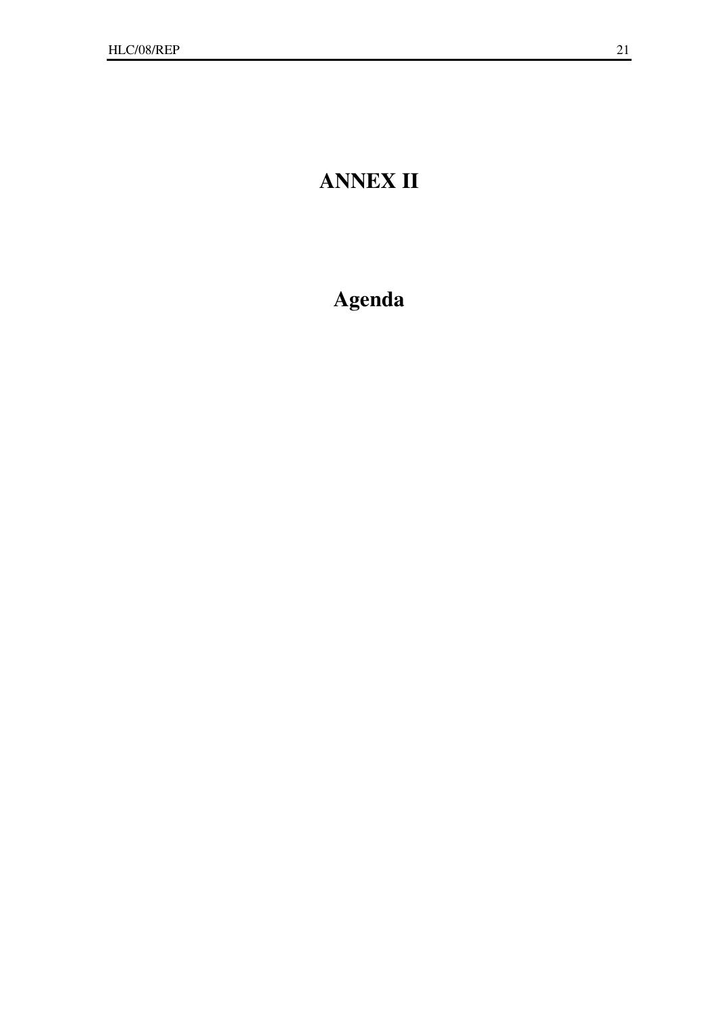# **ANNEX II**

# **Agenda**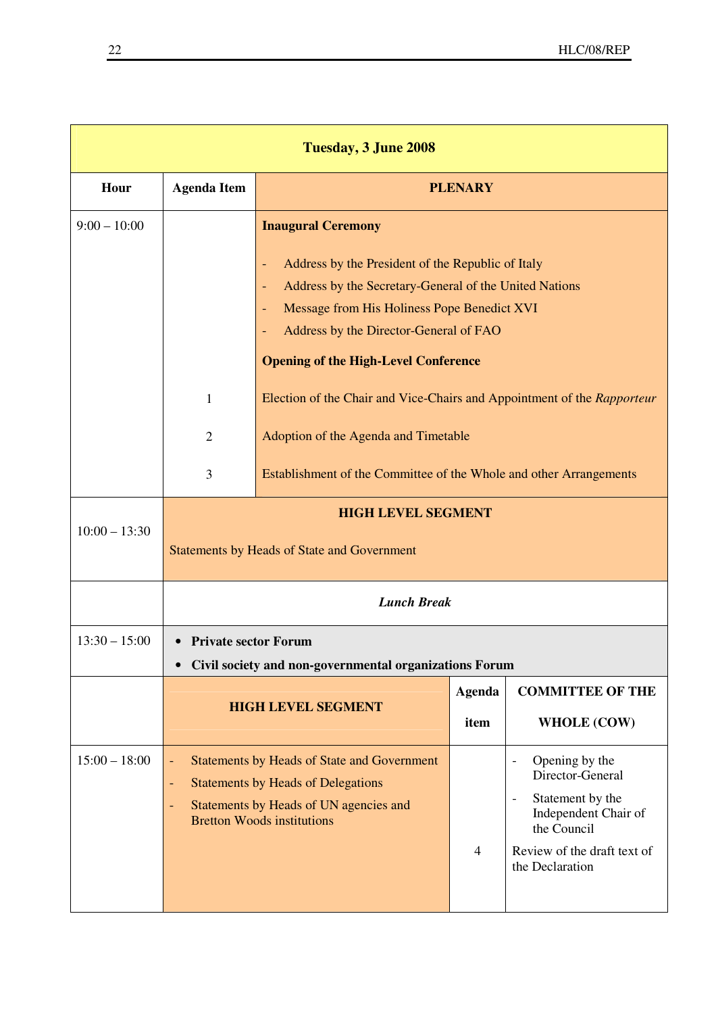| Tuesday, 3 June 2008 |                                                                                       |                                                                                                                                                                                                                                                                                                                                                                                                                                                        |                       |                                                                                                                                                                                                         |  |
|----------------------|---------------------------------------------------------------------------------------|--------------------------------------------------------------------------------------------------------------------------------------------------------------------------------------------------------------------------------------------------------------------------------------------------------------------------------------------------------------------------------------------------------------------------------------------------------|-----------------------|---------------------------------------------------------------------------------------------------------------------------------------------------------------------------------------------------------|--|
| Hour                 | <b>Agenda Item</b>                                                                    | <b>PLENARY</b>                                                                                                                                                                                                                                                                                                                                                                                                                                         |                       |                                                                                                                                                                                                         |  |
| $9:00 - 10:00$       |                                                                                       | <b>Inaugural Ceremony</b>                                                                                                                                                                                                                                                                                                                                                                                                                              |                       |                                                                                                                                                                                                         |  |
|                      | $\mathbf{1}$<br>$\overline{2}$<br>3                                                   | Address by the President of the Republic of Italy<br>н<br>Address by the Secretary-General of the United Nations<br>-<br>Message from His Holiness Pope Benedict XVI<br>Address by the Director-General of FAO<br><b>Opening of the High-Level Conference</b><br>Election of the Chair and Vice-Chairs and Appointment of the Rapporteur<br>Adoption of the Agenda and Timetable<br>Establishment of the Committee of the Whole and other Arrangements |                       |                                                                                                                                                                                                         |  |
| $10:00 - 13:30$      | <b>HIGH LEVEL SEGMENT</b><br><b>Statements by Heads of State and Government</b>       |                                                                                                                                                                                                                                                                                                                                                                                                                                                        |                       |                                                                                                                                                                                                         |  |
|                      | <b>Lunch Break</b>                                                                    |                                                                                                                                                                                                                                                                                                                                                                                                                                                        |                       |                                                                                                                                                                                                         |  |
| $13:30 - 15:00$      | <b>Private sector Forum</b><br>Civil society and non-governmental organizations Forum |                                                                                                                                                                                                                                                                                                                                                                                                                                                        |                       |                                                                                                                                                                                                         |  |
|                      |                                                                                       | <b>HIGH LEVEL SEGMENT</b>                                                                                                                                                                                                                                                                                                                                                                                                                              | <b>Agenda</b><br>item | <b>COMMITTEE OF THE</b><br><b>WHOLE (COW)</b>                                                                                                                                                           |  |
| $15:00 - 18:00$      | ٠<br>-                                                                                | <b>Statements by Heads of State and Government</b><br><b>Statements by Heads of Delegations</b><br>Statements by Heads of UN agencies and<br><b>Bretton Woods institutions</b>                                                                                                                                                                                                                                                                         | $\overline{4}$        | Opening by the<br>$\overline{\phantom{a}}$<br>Director-General<br>Statement by the<br>$\overline{\phantom{a}}$<br>Independent Chair of<br>the Council<br>Review of the draft text of<br>the Declaration |  |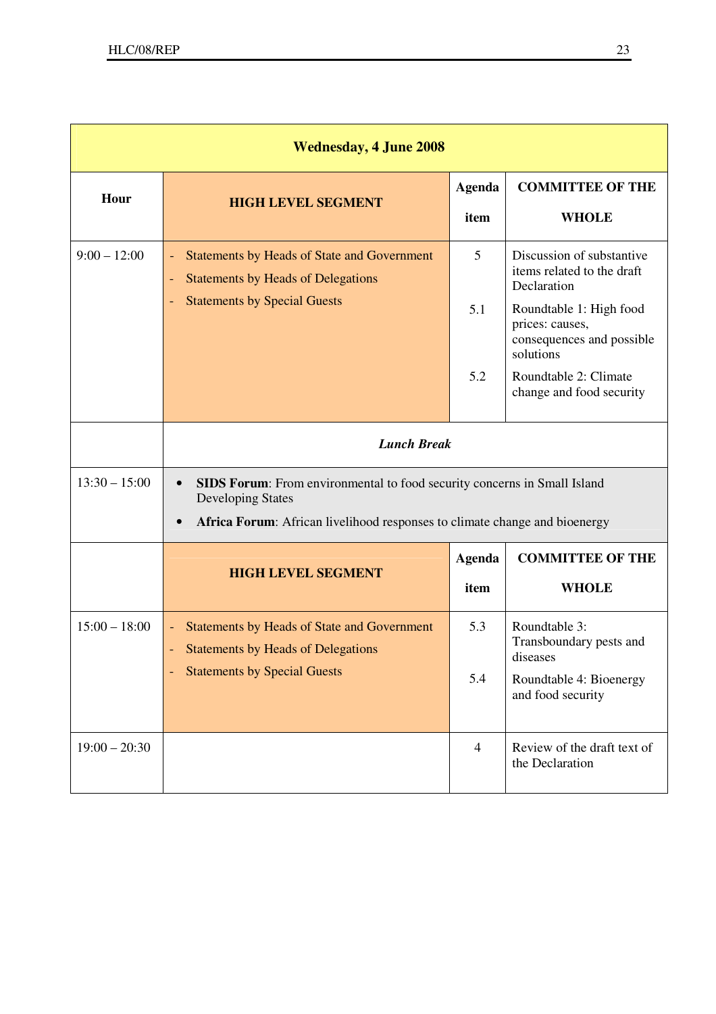| <b>Wednesday, 4 June 2008</b> |                                                                                                                                                                                                 |                       |                                                                                      |
|-------------------------------|-------------------------------------------------------------------------------------------------------------------------------------------------------------------------------------------------|-----------------------|--------------------------------------------------------------------------------------|
| Hour                          | <b>HIGH LEVEL SEGMENT</b>                                                                                                                                                                       | <b>Agenda</b><br>item | <b>COMMITTEE OF THE</b><br><b>WHOLE</b>                                              |
| $9:00 - 12:00$                | <b>Statements by Heads of State and Government</b><br>$\blacksquare$<br><b>Statements by Heads of Delegations</b><br>$\overline{\phantom{a}}$                                                   | 5                     | Discussion of substantive<br>items related to the draft<br>Declaration               |
|                               | <b>Statements by Special Guests</b>                                                                                                                                                             | 5.1                   | Roundtable 1: High food<br>prices: causes,<br>consequences and possible<br>solutions |
|                               |                                                                                                                                                                                                 | 5.2                   | Roundtable 2: Climate<br>change and food security                                    |
|                               | <b>Lunch Break</b>                                                                                                                                                                              |                       |                                                                                      |
| $13:30 - 15:00$               | SIDS Forum: From environmental to food security concerns in Small Island<br>$\bullet$<br><b>Developing States</b><br>Africa Forum: African livelihood responses to climate change and bioenergy |                       |                                                                                      |
|                               | <b>HIGH LEVEL SEGMENT</b>                                                                                                                                                                       | <b>Agenda</b><br>item | <b>COMMITTEE OF THE</b><br><b>WHOLE</b>                                              |
| $15:00 - 18:00$               | <b>Statements by Heads of State and Government</b><br>$\equiv$<br><b>Statements by Heads of Delegations</b>                                                                                     | 5.3                   | Roundtable 3:<br>Transboundary pests and<br>diseases                                 |
|                               | <b>Statements by Special Guests</b>                                                                                                                                                             | 5.4                   | Roundtable 4: Bioenergy<br>and food security                                         |
| $19:00 - 20:30$               |                                                                                                                                                                                                 | $\overline{4}$        | Review of the draft text of<br>the Declaration                                       |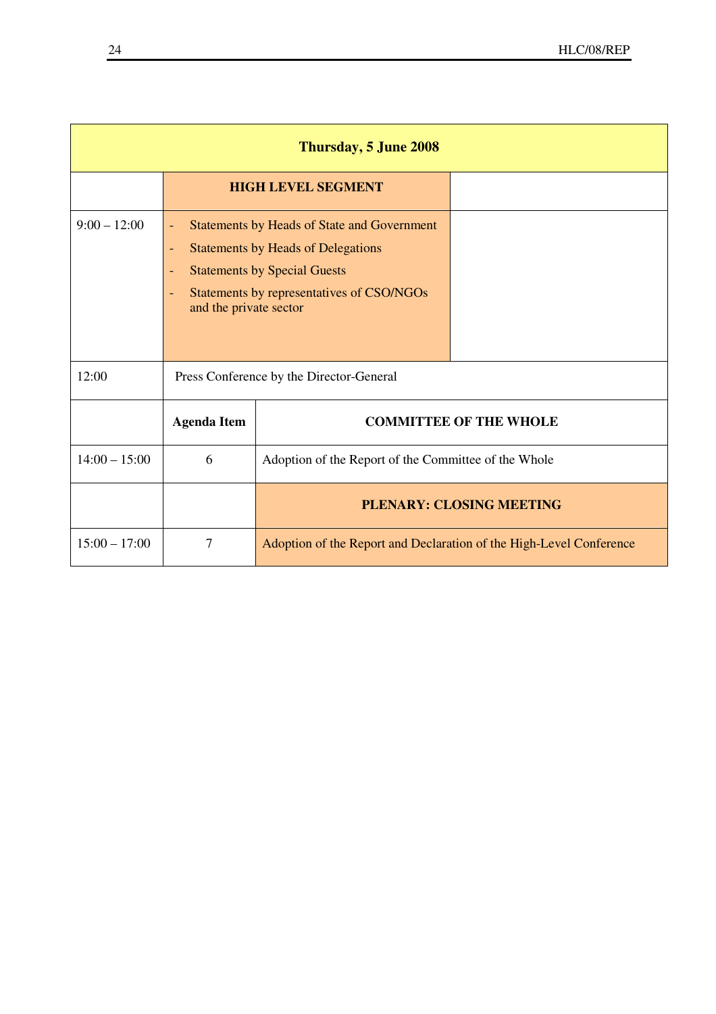| Thursday, 5 June 2008 |                                                                                                                                                                                                                                                                       |                                                                     |                                 |
|-----------------------|-----------------------------------------------------------------------------------------------------------------------------------------------------------------------------------------------------------------------------------------------------------------------|---------------------------------------------------------------------|---------------------------------|
|                       |                                                                                                                                                                                                                                                                       | <b>HIGH LEVEL SEGMENT</b>                                           |                                 |
| $9:00 - 12:00$        | <b>Statements by Heads of State and Government</b><br><b>Statements by Heads of Delegations</b><br>$\overline{\phantom{a}}$<br><b>Statements by Special Guests</b><br>$\overline{\phantom{0}}$<br>Statements by representatives of CSO/NGOs<br>and the private sector |                                                                     |                                 |
| 12:00                 |                                                                                                                                                                                                                                                                       | Press Conference by the Director-General                            |                                 |
|                       | <b>Agenda Item</b>                                                                                                                                                                                                                                                    |                                                                     | <b>COMMITTEE OF THE WHOLE</b>   |
| $14:00 - 15:00$       | 6                                                                                                                                                                                                                                                                     | Adoption of the Report of the Committee of the Whole                |                                 |
|                       |                                                                                                                                                                                                                                                                       |                                                                     | <b>PLENARY: CLOSING MEETING</b> |
| $15:00 - 17:00$       | 7                                                                                                                                                                                                                                                                     | Adoption of the Report and Declaration of the High-Level Conference |                                 |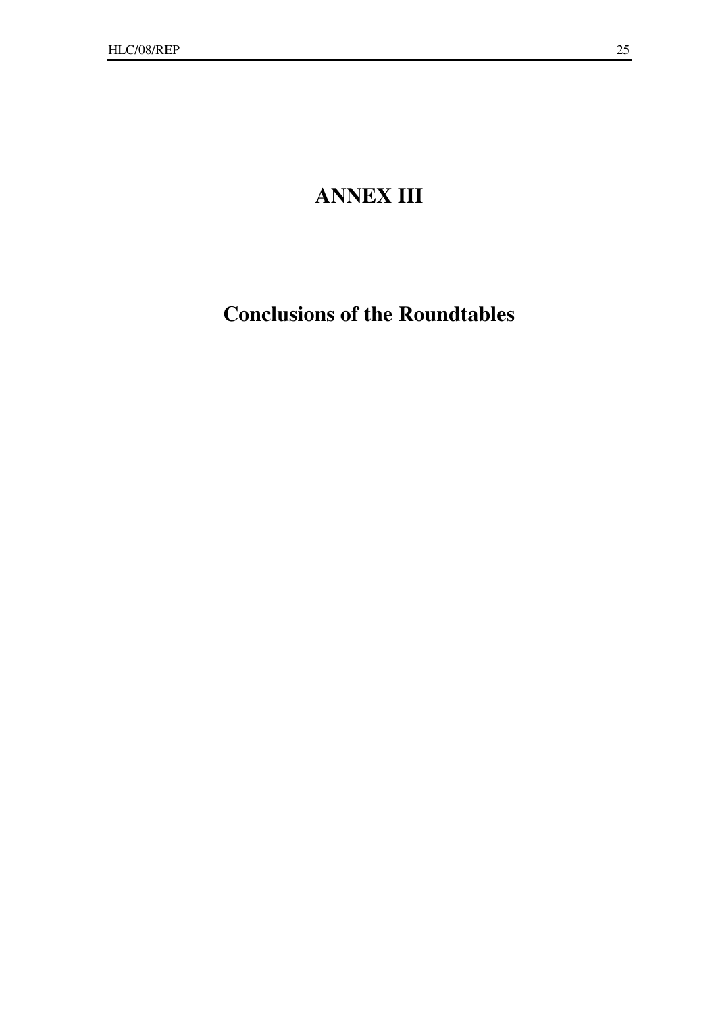# **ANNEX III**

# **Conclusions of the Roundtables**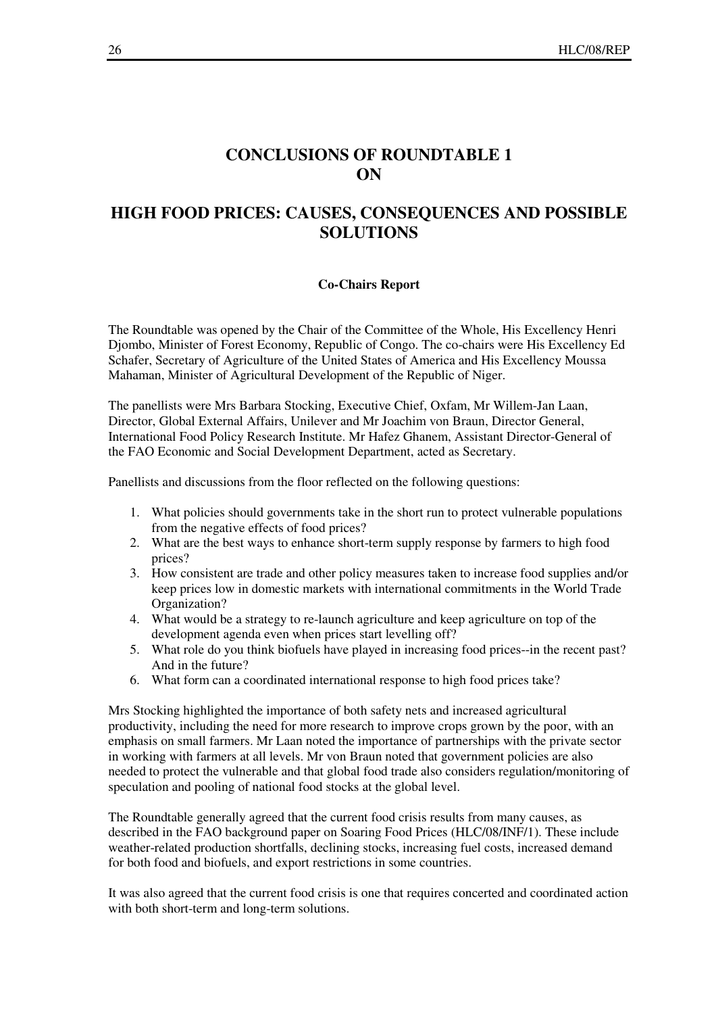# **CONCLUSIONS OF ROUNDTABLE 1 ON**

# **HIGH FOOD PRICES: CAUSES, CONSEQUENCES AND POSSIBLE SOLUTIONS**

#### **Co-Chairs Report**

The Roundtable was opened by the Chair of the Committee of the Whole, His Excellency Henri Djombo, Minister of Forest Economy, Republic of Congo. The co-chairs were His Excellency Ed Schafer, Secretary of Agriculture of the United States of America and His Excellency Moussa Mahaman, Minister of Agricultural Development of the Republic of Niger.

The panellists were Mrs Barbara Stocking, Executive Chief, Oxfam, Mr Willem-Jan Laan, Director, Global External Affairs, Unilever and Mr Joachim von Braun, Director General, International Food Policy Research Institute. Mr Hafez Ghanem, Assistant Director-General of the FAO Economic and Social Development Department, acted as Secretary.

Panellists and discussions from the floor reflected on the following questions:

- 1. What policies should governments take in the short run to protect vulnerable populations from the negative effects of food prices?
- 2. What are the best ways to enhance short-term supply response by farmers to high food prices?
- 3. How consistent are trade and other policy measures taken to increase food supplies and/or keep prices low in domestic markets with international commitments in the World Trade Organization?
- 4. What would be a strategy to re-launch agriculture and keep agriculture on top of the development agenda even when prices start levelling off?
- 5. What role do you think biofuels have played in increasing food prices--in the recent past? And in the future?
- 6. What form can a coordinated international response to high food prices take?

Mrs Stocking highlighted the importance of both safety nets and increased agricultural productivity, including the need for more research to improve crops grown by the poor, with an emphasis on small farmers. Mr Laan noted the importance of partnerships with the private sector in working with farmers at all levels. Mr von Braun noted that government policies are also needed to protect the vulnerable and that global food trade also considers regulation/monitoring of speculation and pooling of national food stocks at the global level.

The Roundtable generally agreed that the current food crisis results from many causes, as described in the FAO background paper on Soaring Food Prices (HLC/08/INF/1). These include weather-related production shortfalls, declining stocks, increasing fuel costs, increased demand for both food and biofuels, and export restrictions in some countries.

It was also agreed that the current food crisis is one that requires concerted and coordinated action with both short-term and long-term solutions.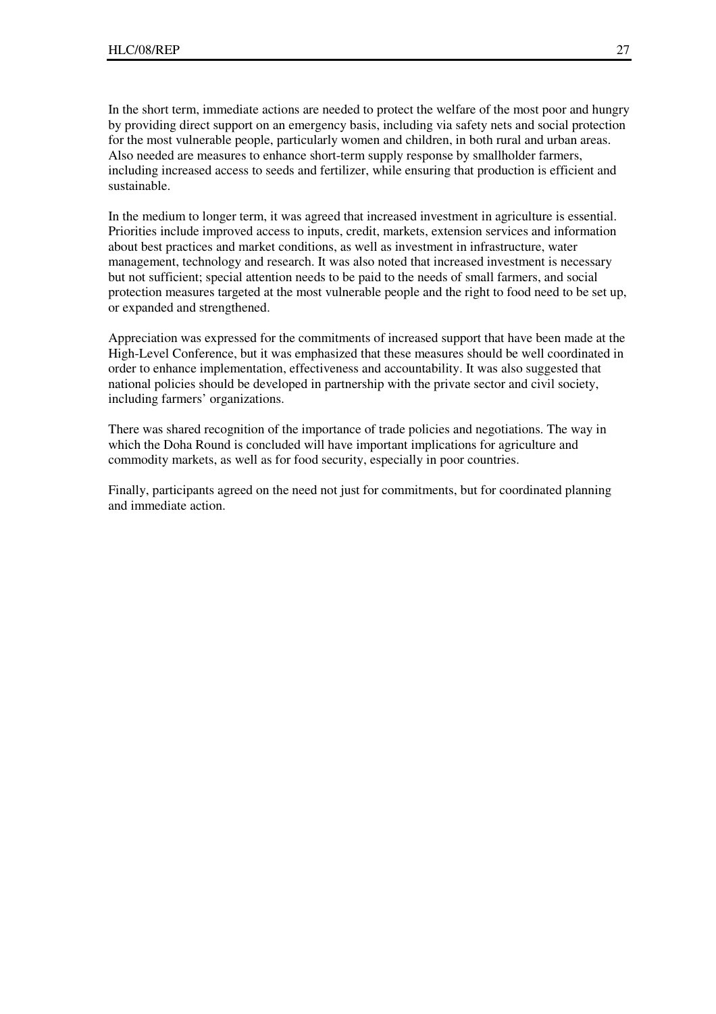In the short term, immediate actions are needed to protect the welfare of the most poor and hungry by providing direct support on an emergency basis, including via safety nets and social protection for the most vulnerable people, particularly women and children, in both rural and urban areas. Also needed are measures to enhance short-term supply response by smallholder farmers, including increased access to seeds and fertilizer, while ensuring that production is efficient and sustainable.

In the medium to longer term, it was agreed that increased investment in agriculture is essential. Priorities include improved access to inputs, credit, markets, extension services and information about best practices and market conditions, as well as investment in infrastructure, water management, technology and research. It was also noted that increased investment is necessary but not sufficient; special attention needs to be paid to the needs of small farmers, and social protection measures targeted at the most vulnerable people and the right to food need to be set up, or expanded and strengthened.

Appreciation was expressed for the commitments of increased support that have been made at the High-Level Conference, but it was emphasized that these measures should be well coordinated in order to enhance implementation, effectiveness and accountability. It was also suggested that national policies should be developed in partnership with the private sector and civil society, including farmers' organizations.

There was shared recognition of the importance of trade policies and negotiations. The way in which the Doha Round is concluded will have important implications for agriculture and commodity markets, as well as for food security, especially in poor countries.

Finally, participants agreed on the need not just for commitments, but for coordinated planning and immediate action.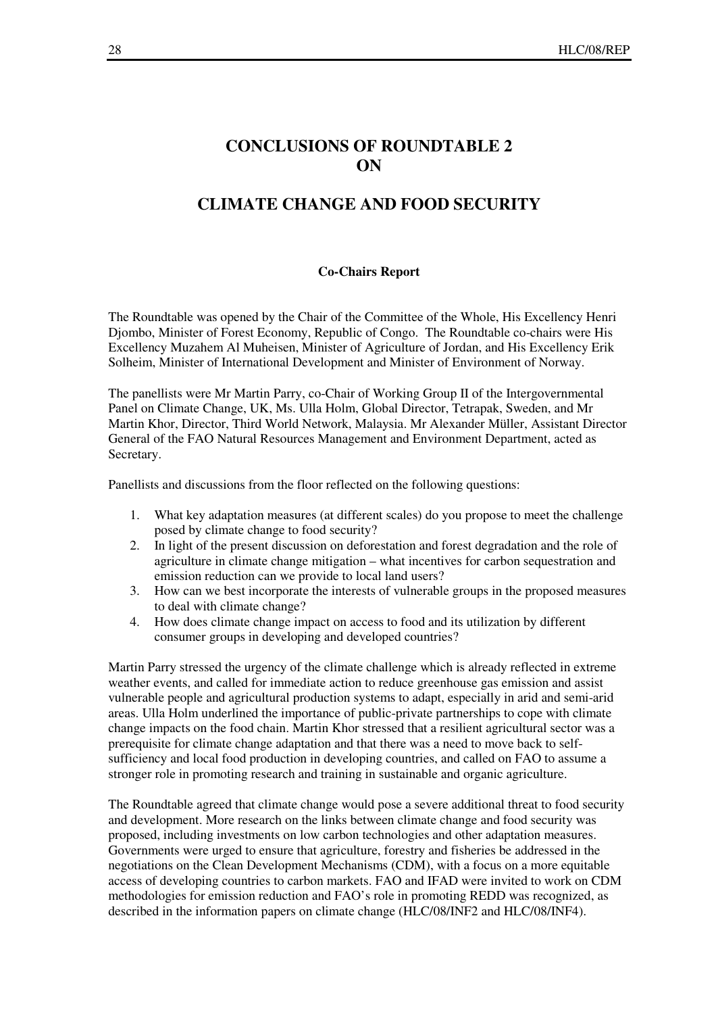# **CONCLUSIONS OF ROUNDTABLE 2 ON**

# **CLIMATE CHANGE AND FOOD SECURITY**

#### **Co-Chairs Report**

The Roundtable was opened by the Chair of the Committee of the Whole, His Excellency Henri Djombo, Minister of Forest Economy, Republic of Congo. The Roundtable co-chairs were His Excellency Muzahem Al Muheisen, Minister of Agriculture of Jordan, and His Excellency Erik Solheim, Minister of International Development and Minister of Environment of Norway.

The panellists were Mr Martin Parry, co-Chair of Working Group II of the Intergovernmental Panel on Climate Change, UK, Ms. Ulla Holm, Global Director, Tetrapak, Sweden, and Mr Martin Khor, Director, Third World Network, Malaysia. Mr Alexander Müller, Assistant Director General of the FAO Natural Resources Management and Environment Department, acted as Secretary.

Panellists and discussions from the floor reflected on the following questions:

- 1. What key adaptation measures (at different scales) do you propose to meet the challenge posed by climate change to food security?
- 2. In light of the present discussion on deforestation and forest degradation and the role of agriculture in climate change mitigation – what incentives for carbon sequestration and emission reduction can we provide to local land users?
- 3. How can we best incorporate the interests of vulnerable groups in the proposed measures to deal with climate change?
- 4. How does climate change impact on access to food and its utilization by different consumer groups in developing and developed countries?

Martin Parry stressed the urgency of the climate challenge which is already reflected in extreme weather events, and called for immediate action to reduce greenhouse gas emission and assist vulnerable people and agricultural production systems to adapt, especially in arid and semi-arid areas. Ulla Holm underlined the importance of public-private partnerships to cope with climate change impacts on the food chain. Martin Khor stressed that a resilient agricultural sector was a prerequisite for climate change adaptation and that there was a need to move back to selfsufficiency and local food production in developing countries, and called on FAO to assume a stronger role in promoting research and training in sustainable and organic agriculture.

The Roundtable agreed that climate change would pose a severe additional threat to food security and development. More research on the links between climate change and food security was proposed, including investments on low carbon technologies and other adaptation measures. Governments were urged to ensure that agriculture, forestry and fisheries be addressed in the negotiations on the Clean Development Mechanisms (CDM), with a focus on a more equitable access of developing countries to carbon markets. FAO and IFAD were invited to work on CDM methodologies for emission reduction and FAO's role in promoting REDD was recognized, as described in the information papers on climate change (HLC/08/INF2 and HLC/08/INF4).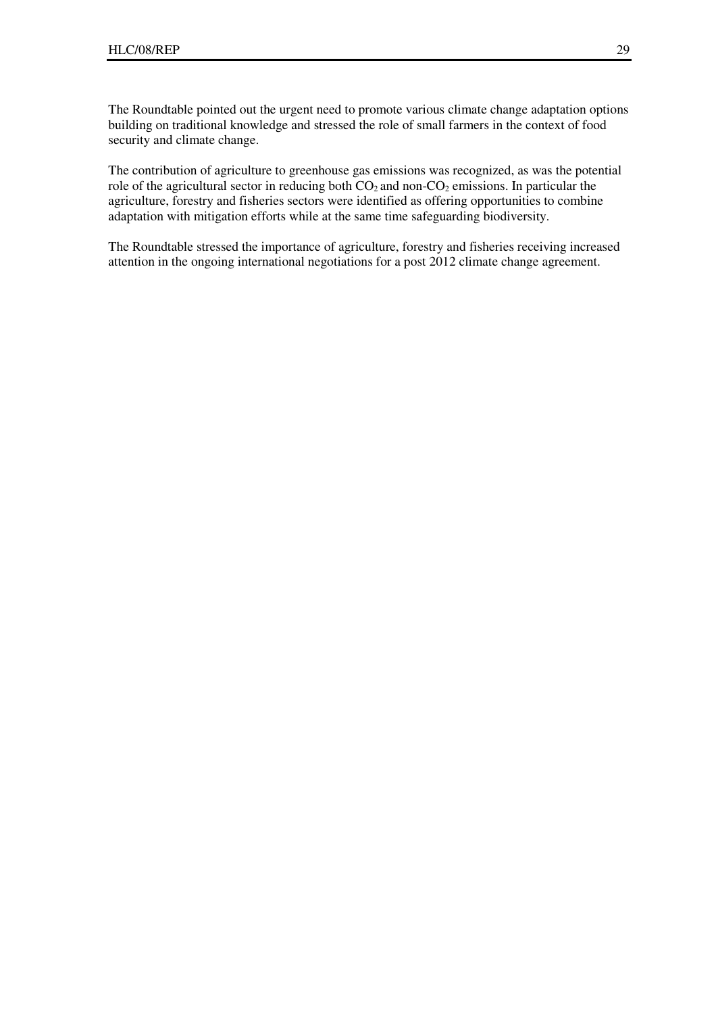The Roundtable pointed out the urgent need to promote various climate change adaptation options building on traditional knowledge and stressed the role of small farmers in the context of food security and climate change.

The contribution of agriculture to greenhouse gas emissions was recognized, as was the potential role of the agricultural sector in reducing both  $CO<sub>2</sub>$  and non- $CO<sub>2</sub>$  emissions. In particular the agriculture, forestry and fisheries sectors were identified as offering opportunities to combine adaptation with mitigation efforts while at the same time safeguarding biodiversity.

The Roundtable stressed the importance of agriculture, forestry and fisheries receiving increased attention in the ongoing international negotiations for a post 2012 climate change agreement.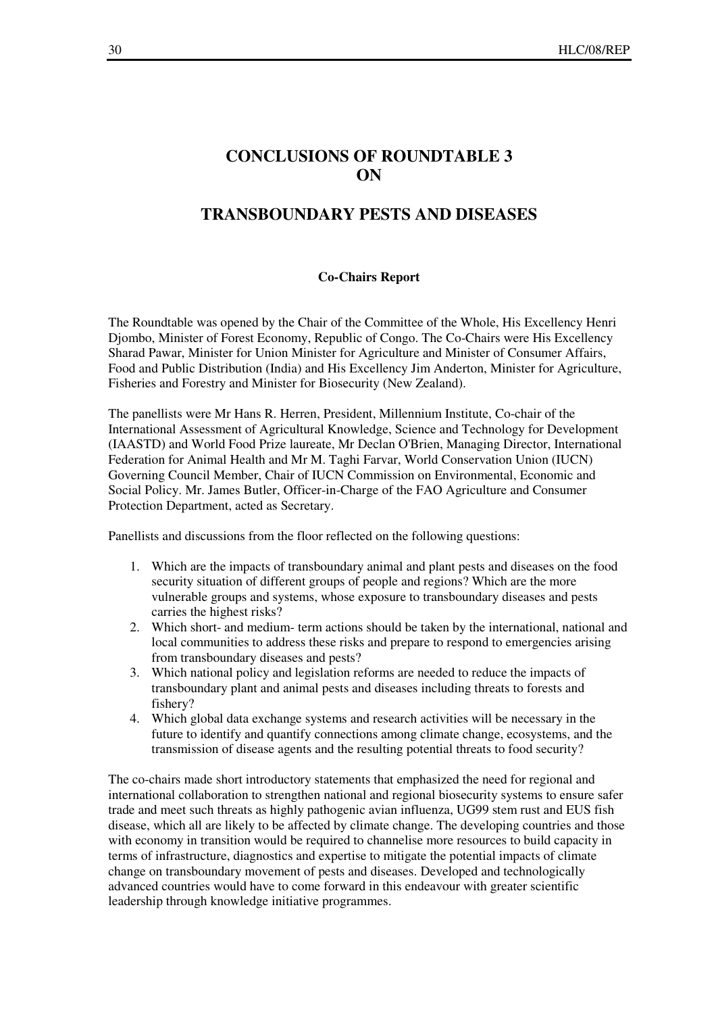# **CONCLUSIONS OF ROUNDTABLE 3 ON**

# **TRANSBOUNDARY PESTS AND DISEASES**

#### **Co-Chairs Report**

The Roundtable was opened by the Chair of the Committee of the Whole, His Excellency Henri Djombo, Minister of Forest Economy, Republic of Congo. The Co-Chairs were His Excellency Sharad Pawar, Minister for Union Minister for Agriculture and Minister of Consumer Affairs, Food and Public Distribution (India) and His Excellency Jim Anderton, Minister for Agriculture, Fisheries and Forestry and Minister for Biosecurity (New Zealand).

The panellists were Mr Hans R. Herren, President, Millennium Institute, Co-chair of the International Assessment of Agricultural Knowledge, Science and Technology for Development (IAASTD) and World Food Prize laureate, Mr Declan O'Brien, Managing Director, International Federation for Animal Health and Mr M. Taghi Farvar, World Conservation Union (IUCN) Governing Council Member, Chair of IUCN Commission on Environmental, Economic and Social Policy. Mr. James Butler, Officer-in-Charge of the FAO Agriculture and Consumer Protection Department, acted as Secretary.

Panellists and discussions from the floor reflected on the following questions:

- 1. Which are the impacts of transboundary animal and plant pests and diseases on the food security situation of different groups of people and regions? Which are the more vulnerable groups and systems, whose exposure to transboundary diseases and pests carries the highest risks?
- 2. Which short- and medium- term actions should be taken by the international, national and local communities to address these risks and prepare to respond to emergencies arising from transboundary diseases and pests?
- 3. Which national policy and legislation reforms are needed to reduce the impacts of transboundary plant and animal pests and diseases including threats to forests and fishery?
- 4. Which global data exchange systems and research activities will be necessary in the future to identify and quantify connections among climate change, ecosystems, and the transmission of disease agents and the resulting potential threats to food security?

The co-chairs made short introductory statements that emphasized the need for regional and international collaboration to strengthen national and regional biosecurity systems to ensure safer trade and meet such threats as highly pathogenic avian influenza, UG99 stem rust and EUS fish disease, which all are likely to be affected by climate change. The developing countries and those with economy in transition would be required to channelise more resources to build capacity in terms of infrastructure, diagnostics and expertise to mitigate the potential impacts of climate change on transboundary movement of pests and diseases. Developed and technologically advanced countries would have to come forward in this endeavour with greater scientific leadership through knowledge initiative programmes.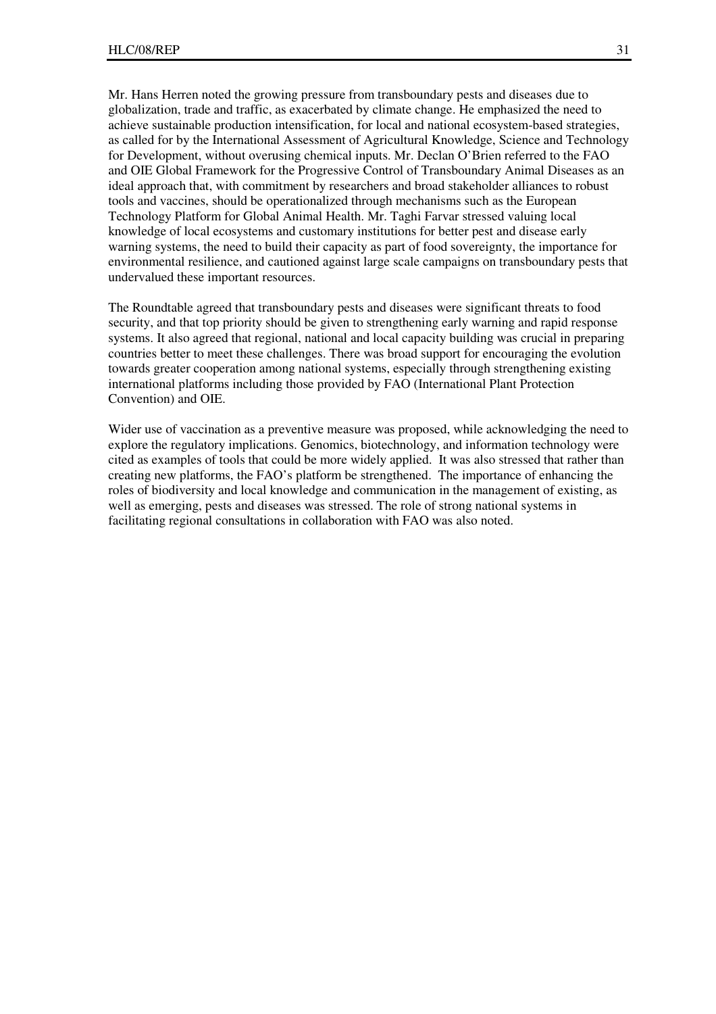Mr. Hans Herren noted the growing pressure from transboundary pests and diseases due to globalization, trade and traffic, as exacerbated by climate change. He emphasized the need to achieve sustainable production intensification, for local and national ecosystem-based strategies, as called for by the International Assessment of Agricultural Knowledge, Science and Technology for Development, without overusing chemical inputs. Mr. Declan O'Brien referred to the FAO and OIE Global Framework for the Progressive Control of Transboundary Animal Diseases as an ideal approach that, with commitment by researchers and broad stakeholder alliances to robust tools and vaccines, should be operationalized through mechanisms such as the European Technology Platform for Global Animal Health. Mr. Taghi Farvar stressed valuing local knowledge of local ecosystems and customary institutions for better pest and disease early warning systems, the need to build their capacity as part of food sovereignty, the importance for environmental resilience, and cautioned against large scale campaigns on transboundary pests that undervalued these important resources.

The Roundtable agreed that transboundary pests and diseases were significant threats to food security, and that top priority should be given to strengthening early warning and rapid response systems. It also agreed that regional, national and local capacity building was crucial in preparing countries better to meet these challenges. There was broad support for encouraging the evolution towards greater cooperation among national systems, especially through strengthening existing international platforms including those provided by FAO (International Plant Protection Convention) and OIE.

Wider use of vaccination as a preventive measure was proposed, while acknowledging the need to explore the regulatory implications. Genomics, biotechnology, and information technology were cited as examples of tools that could be more widely applied. It was also stressed that rather than creating new platforms, the FAO's platform be strengthened. The importance of enhancing the roles of biodiversity and local knowledge and communication in the management of existing, as well as emerging, pests and diseases was stressed. The role of strong national systems in facilitating regional consultations in collaboration with FAO was also noted.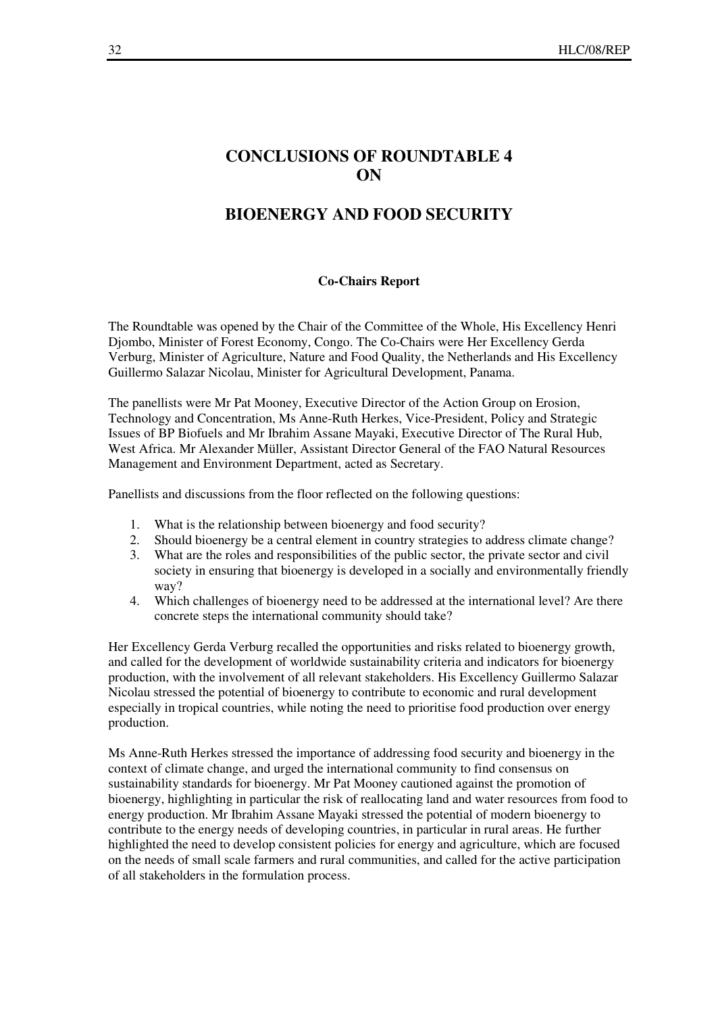# **CONCLUSIONS OF ROUNDTABLE 4 ON**

# **BIOENERGY AND FOOD SECURITY**

#### **Co-Chairs Report**

The Roundtable was opened by the Chair of the Committee of the Whole, His Excellency Henri Djombo, Minister of Forest Economy, Congo. The Co-Chairs were Her Excellency Gerda Verburg, Minister of Agriculture, Nature and Food Quality, the Netherlands and His Excellency Guillermo Salazar Nicolau, Minister for Agricultural Development, Panama.

The panellists were Mr Pat Mooney, Executive Director of the Action Group on Erosion, Technology and Concentration, Ms Anne-Ruth Herkes, Vice-President, Policy and Strategic Issues of BP Biofuels and Mr Ibrahim Assane Mayaki, Executive Director of The Rural Hub, West Africa. Mr Alexander Müller, Assistant Director General of the FAO Natural Resources Management and Environment Department, acted as Secretary.

Panellists and discussions from the floor reflected on the following questions:

- 1. What is the relationship between bioenergy and food security?
- 2. Should bioenergy be a central element in country strategies to address climate change?
- 3. What are the roles and responsibilities of the public sector, the private sector and civil society in ensuring that bioenergy is developed in a socially and environmentally friendly way?
- 4. Which challenges of bioenergy need to be addressed at the international level? Are there concrete steps the international community should take?

Her Excellency Gerda Verburg recalled the opportunities and risks related to bioenergy growth, and called for the development of worldwide sustainability criteria and indicators for bioenergy production, with the involvement of all relevant stakeholders. His Excellency Guillermo Salazar Nicolau stressed the potential of bioenergy to contribute to economic and rural development especially in tropical countries, while noting the need to prioritise food production over energy production.

Ms Anne-Ruth Herkes stressed the importance of addressing food security and bioenergy in the context of climate change, and urged the international community to find consensus on sustainability standards for bioenergy. Mr Pat Mooney cautioned against the promotion of bioenergy, highlighting in particular the risk of reallocating land and water resources from food to energy production. Mr Ibrahim Assane Mayaki stressed the potential of modern bioenergy to contribute to the energy needs of developing countries, in particular in rural areas. He further highlighted the need to develop consistent policies for energy and agriculture, which are focused on the needs of small scale farmers and rural communities, and called for the active participation of all stakeholders in the formulation process.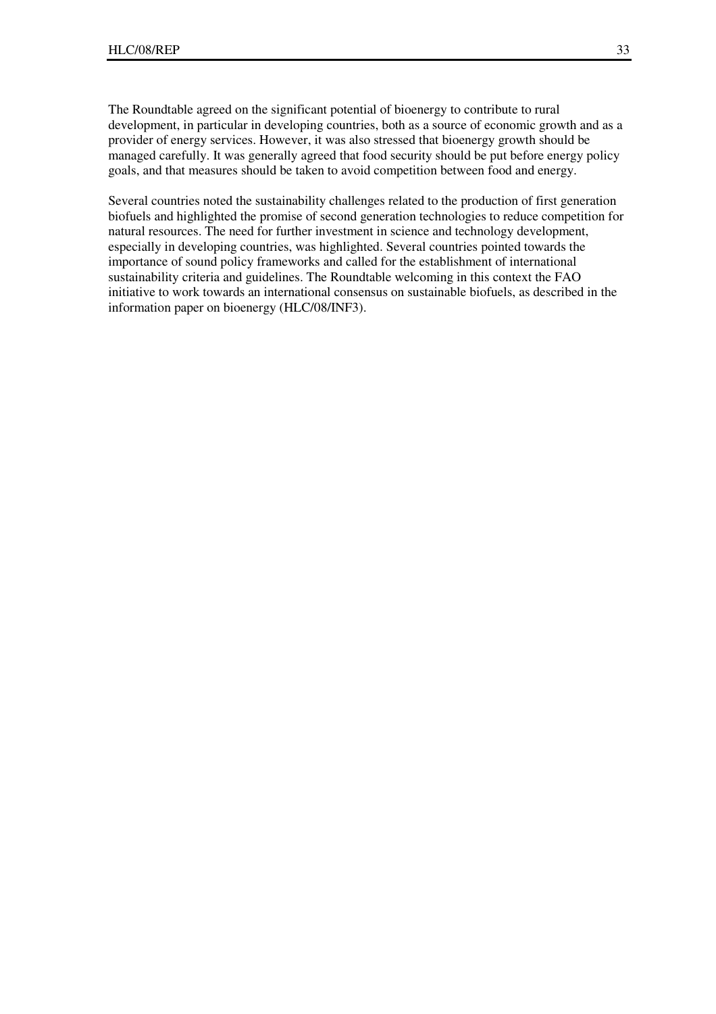The Roundtable agreed on the significant potential of bioenergy to contribute to rural development, in particular in developing countries, both as a source of economic growth and as a provider of energy services. However, it was also stressed that bioenergy growth should be managed carefully. It was generally agreed that food security should be put before energy policy goals, and that measures should be taken to avoid competition between food and energy.

Several countries noted the sustainability challenges related to the production of first generation biofuels and highlighted the promise of second generation technologies to reduce competition for natural resources. The need for further investment in science and technology development, especially in developing countries, was highlighted. Several countries pointed towards the importance of sound policy frameworks and called for the establishment of international sustainability criteria and guidelines. The Roundtable welcoming in this context the FAO initiative to work towards an international consensus on sustainable biofuels, as described in the information paper on bioenergy (HLC/08/INF3).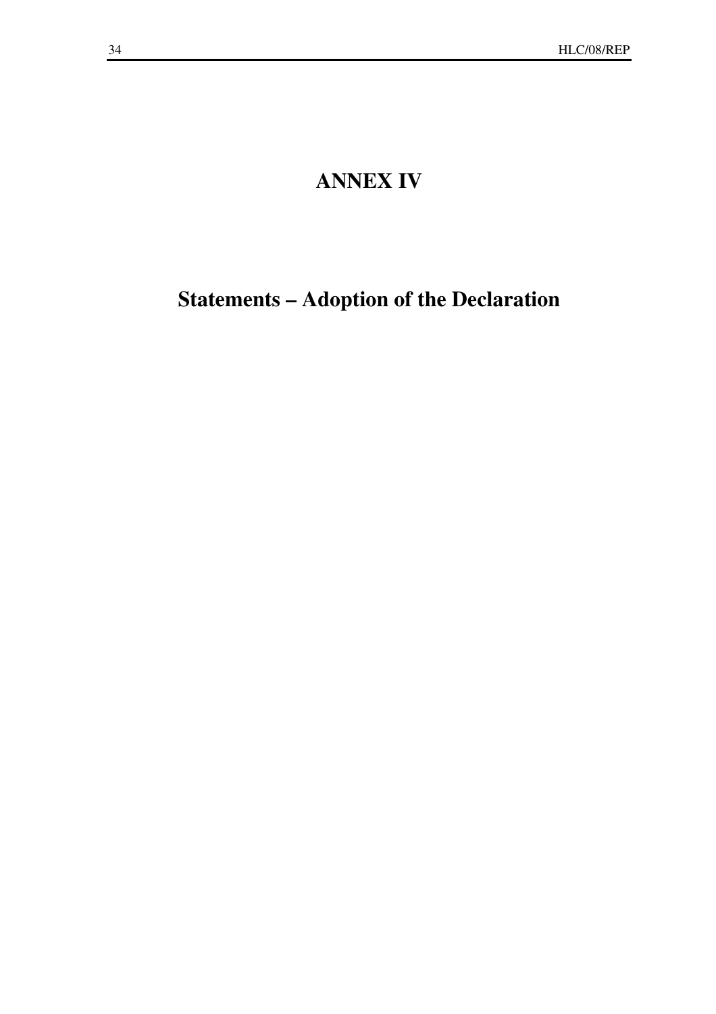# **ANNEX IV**

# **Statements – Adoption of the Declaration**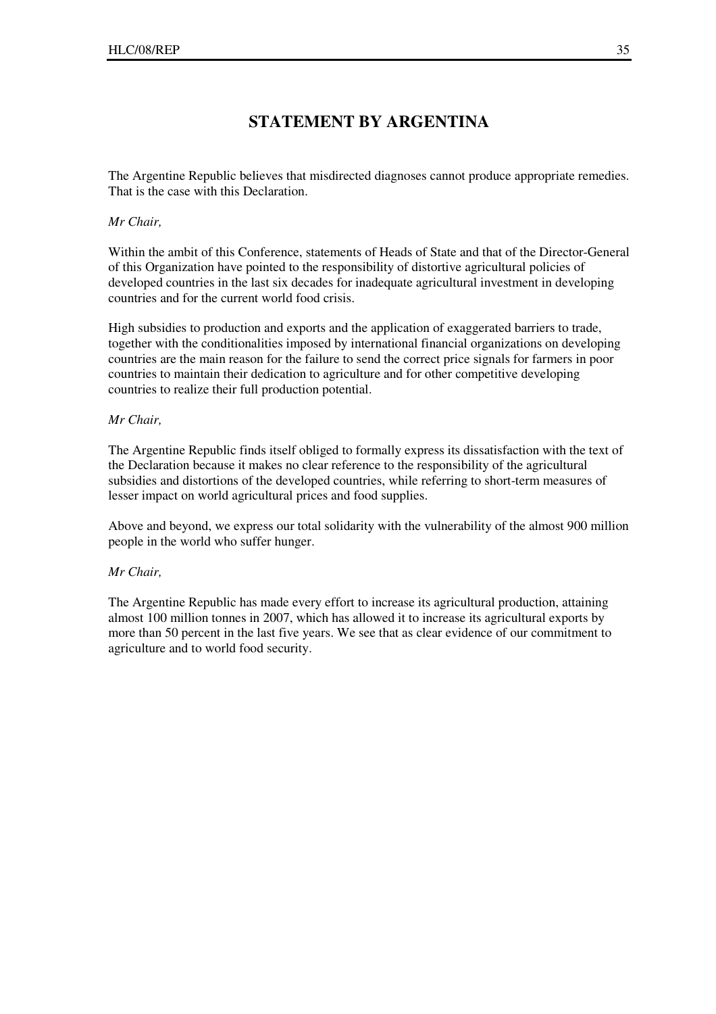# **STATEMENT BY ARGENTINA**

The Argentine Republic believes that misdirected diagnoses cannot produce appropriate remedies. That is the case with this Declaration.

### *Mr Chair,*

Within the ambit of this Conference, statements of Heads of State and that of the Director-General of this Organization have pointed to the responsibility of distortive agricultural policies of developed countries in the last six decades for inadequate agricultural investment in developing countries and for the current world food crisis.

High subsidies to production and exports and the application of exaggerated barriers to trade, together with the conditionalities imposed by international financial organizations on developing countries are the main reason for the failure to send the correct price signals for farmers in poor countries to maintain their dedication to agriculture and for other competitive developing countries to realize their full production potential.

### *Mr Chair,*

The Argentine Republic finds itself obliged to formally express its dissatisfaction with the text of the Declaration because it makes no clear reference to the responsibility of the agricultural subsidies and distortions of the developed countries, while referring to short-term measures of lesser impact on world agricultural prices and food supplies.

Above and beyond, we express our total solidarity with the vulnerability of the almost 900 million people in the world who suffer hunger.

#### *Mr Chair,*

The Argentine Republic has made every effort to increase its agricultural production, attaining almost 100 million tonnes in 2007, which has allowed it to increase its agricultural exports by more than 50 percent in the last five years. We see that as clear evidence of our commitment to agriculture and to world food security.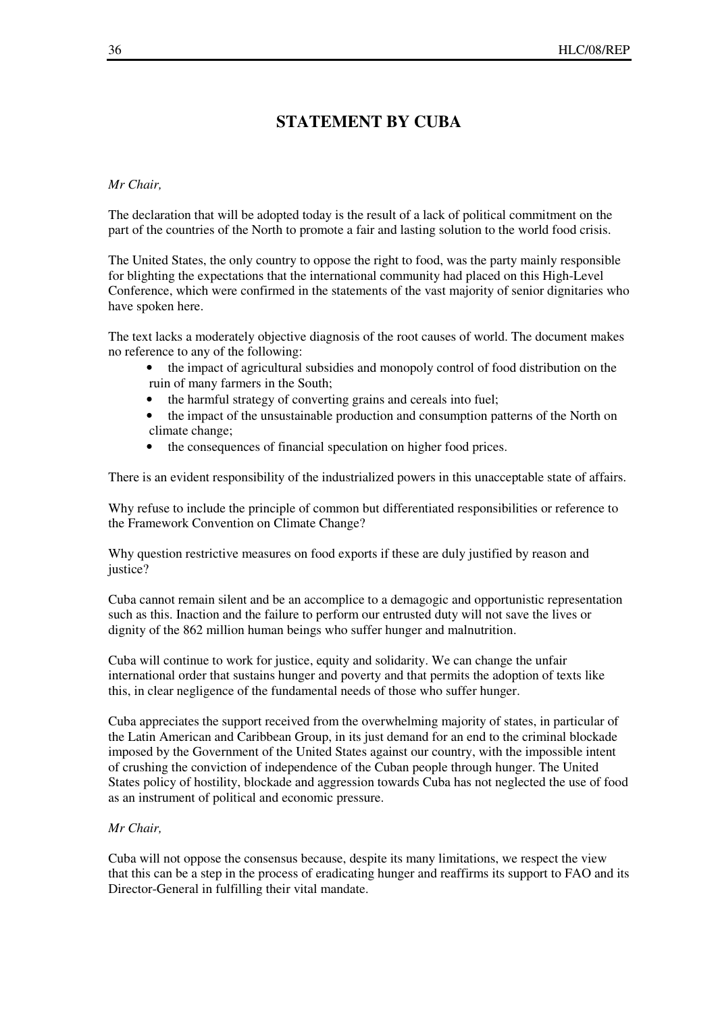# **STATEMENT BY CUBA**

### *Mr Chair,*

The declaration that will be adopted today is the result of a lack of political commitment on the part of the countries of the North to promote a fair and lasting solution to the world food crisis.

The United States, the only country to oppose the right to food, was the party mainly responsible for blighting the expectations that the international community had placed on this High-Level Conference, which were confirmed in the statements of the vast majority of senior dignitaries who have spoken here.

The text lacks a moderately objective diagnosis of the root causes of world. The document makes no reference to any of the following:

- the impact of agricultural subsidies and monopoly control of food distribution on the ruin of many farmers in the South;
- the harmful strategy of converting grains and cereals into fuel;
- the impact of the unsustainable production and consumption patterns of the North on climate change;
- the consequences of financial speculation on higher food prices.

There is an evident responsibility of the industrialized powers in this unacceptable state of affairs.

Why refuse to include the principle of common but differentiated responsibilities or reference to the Framework Convention on Climate Change?

Why question restrictive measures on food exports if these are duly justified by reason and justice?

Cuba cannot remain silent and be an accomplice to a demagogic and opportunistic representation such as this. Inaction and the failure to perform our entrusted duty will not save the lives or dignity of the 862 million human beings who suffer hunger and malnutrition.

Cuba will continue to work for justice, equity and solidarity. We can change the unfair international order that sustains hunger and poverty and that permits the adoption of texts like this, in clear negligence of the fundamental needs of those who suffer hunger.

Cuba appreciates the support received from the overwhelming majority of states, in particular of the Latin American and Caribbean Group, in its just demand for an end to the criminal blockade imposed by the Government of the United States against our country, with the impossible intent of crushing the conviction of independence of the Cuban people through hunger. The United States policy of hostility, blockade and aggression towards Cuba has not neglected the use of food as an instrument of political and economic pressure.

### *Mr Chair,*

Cuba will not oppose the consensus because, despite its many limitations, we respect the view that this can be a step in the process of eradicating hunger and reaffirms its support to FAO and its Director-General in fulfilling their vital mandate.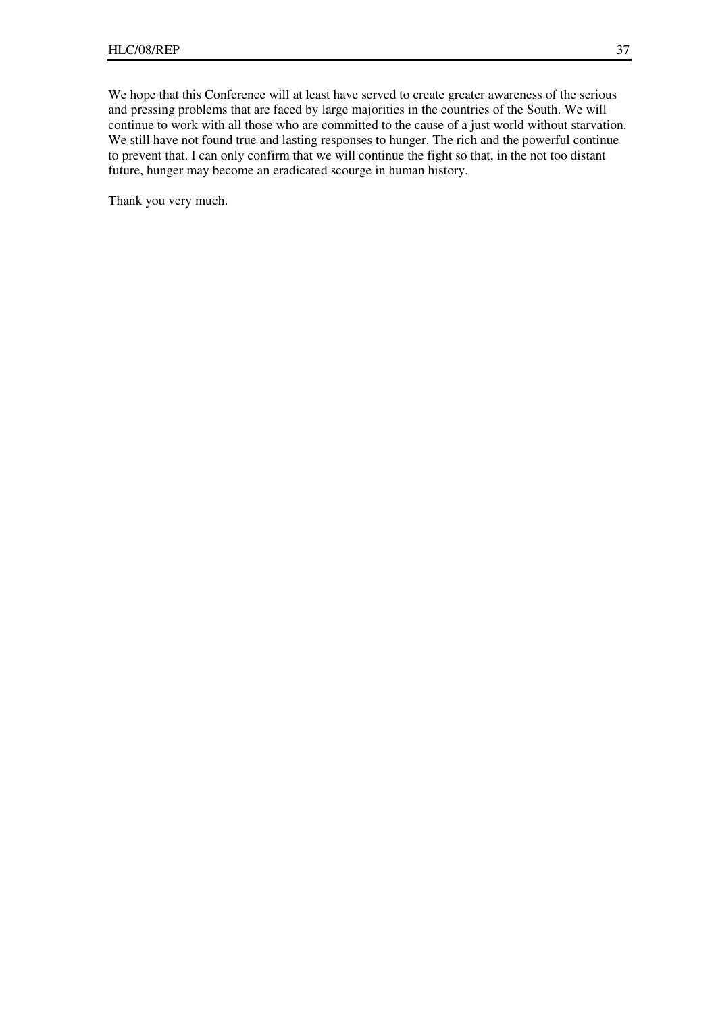We hope that this Conference will at least have served to create greater awareness of the serious and pressing problems that are faced by large majorities in the countries of the South. We will continue to work with all those who are committed to the cause of a just world without starvation. We still have not found true and lasting responses to hunger. The rich and the powerful continue to prevent that. I can only confirm that we will continue the fight so that, in the not too distant future, hunger may become an eradicated scourge in human history.

Thank you very much.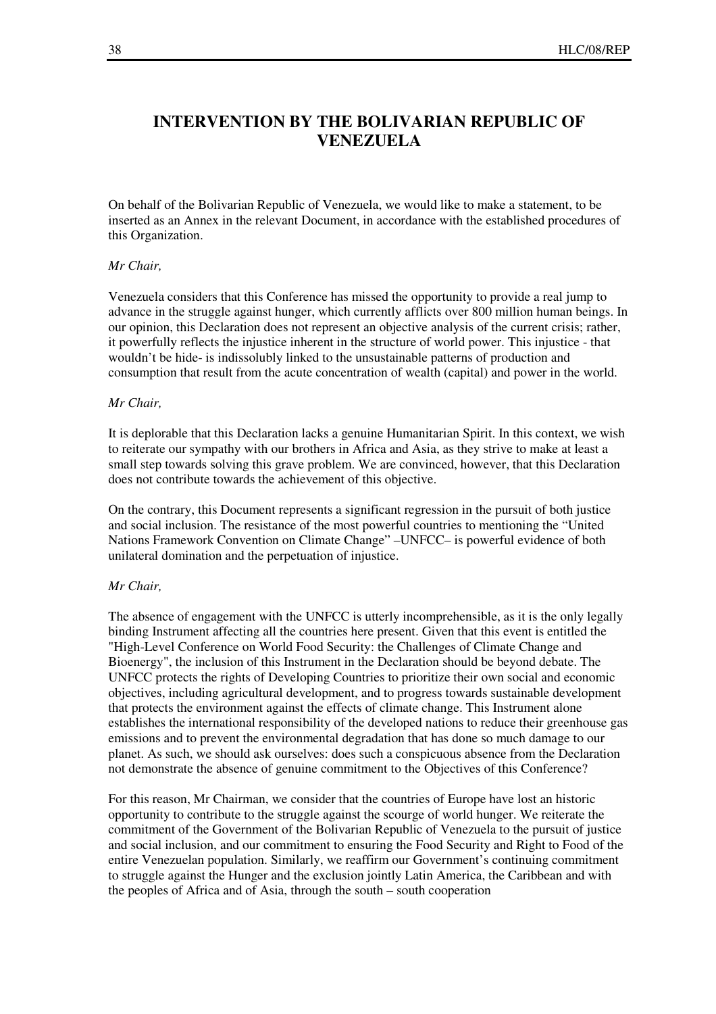# **INTERVENTION BY THE BOLIVARIAN REPUBLIC OF VENEZUELA**

On behalf of the Bolivarian Republic of Venezuela, we would like to make a statement, to be inserted as an Annex in the relevant Document, in accordance with the established procedures of this Organization.

#### *Mr Chair,*

Venezuela considers that this Conference has missed the opportunity to provide a real jump to advance in the struggle against hunger, which currently afflicts over 800 million human beings. In our opinion, this Declaration does not represent an objective analysis of the current crisis; rather, it powerfully reflects the injustice inherent in the structure of world power. This injustice - that wouldn't be hide- is indissolubly linked to the unsustainable patterns of production and consumption that result from the acute concentration of wealth (capital) and power in the world.

#### *Mr Chair,*

It is deplorable that this Declaration lacks a genuine Humanitarian Spirit. In this context, we wish to reiterate our sympathy with our brothers in Africa and Asia, as they strive to make at least a small step towards solving this grave problem. We are convinced, however, that this Declaration does not contribute towards the achievement of this objective.

On the contrary, this Document represents a significant regression in the pursuit of both justice and social inclusion. The resistance of the most powerful countries to mentioning the "United Nations Framework Convention on Climate Change" –UNFCC– is powerful evidence of both unilateral domination and the perpetuation of injustice.

### *Mr Chair,*

The absence of engagement with the UNFCC is utterly incomprehensible, as it is the only legally binding Instrument affecting all the countries here present. Given that this event is entitled the "High-Level Conference on World Food Security: the Challenges of Climate Change and Bioenergy", the inclusion of this Instrument in the Declaration should be beyond debate. The UNFCC protects the rights of Developing Countries to prioritize their own social and economic objectives, including agricultural development, and to progress towards sustainable development that protects the environment against the effects of climate change. This Instrument alone establishes the international responsibility of the developed nations to reduce their greenhouse gas emissions and to prevent the environmental degradation that has done so much damage to our planet. As such, we should ask ourselves: does such a conspicuous absence from the Declaration not demonstrate the absence of genuine commitment to the Objectives of this Conference?

For this reason, Mr Chairman, we consider that the countries of Europe have lost an historic opportunity to contribute to the struggle against the scourge of world hunger. We reiterate the commitment of the Government of the Bolivarian Republic of Venezuela to the pursuit of justice and social inclusion, and our commitment to ensuring the Food Security and Right to Food of the entire Venezuelan population. Similarly, we reaffirm our Government's continuing commitment to struggle against the Hunger and the exclusion jointly Latin America, the Caribbean and with the peoples of Africa and of Asia, through the south – south cooperation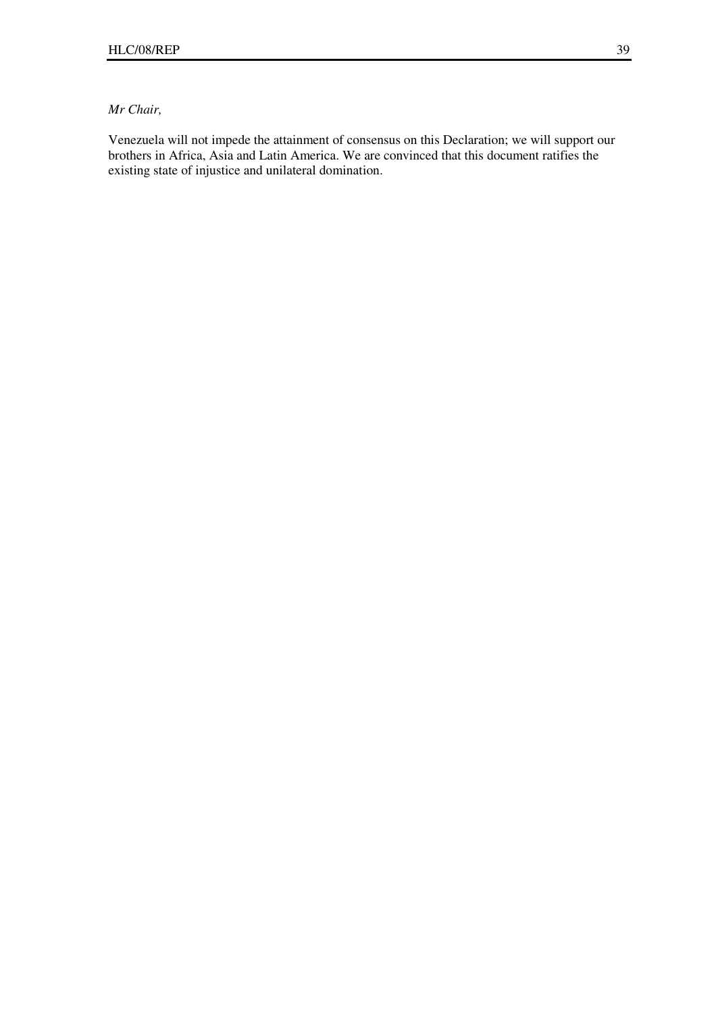*Mr Chair,* 

Venezuela will not impede the attainment of consensus on this Declaration; we will support our brothers in Africa, Asia and Latin America. We are convinced that this document ratifies the existing state of injustice and unilateral domination.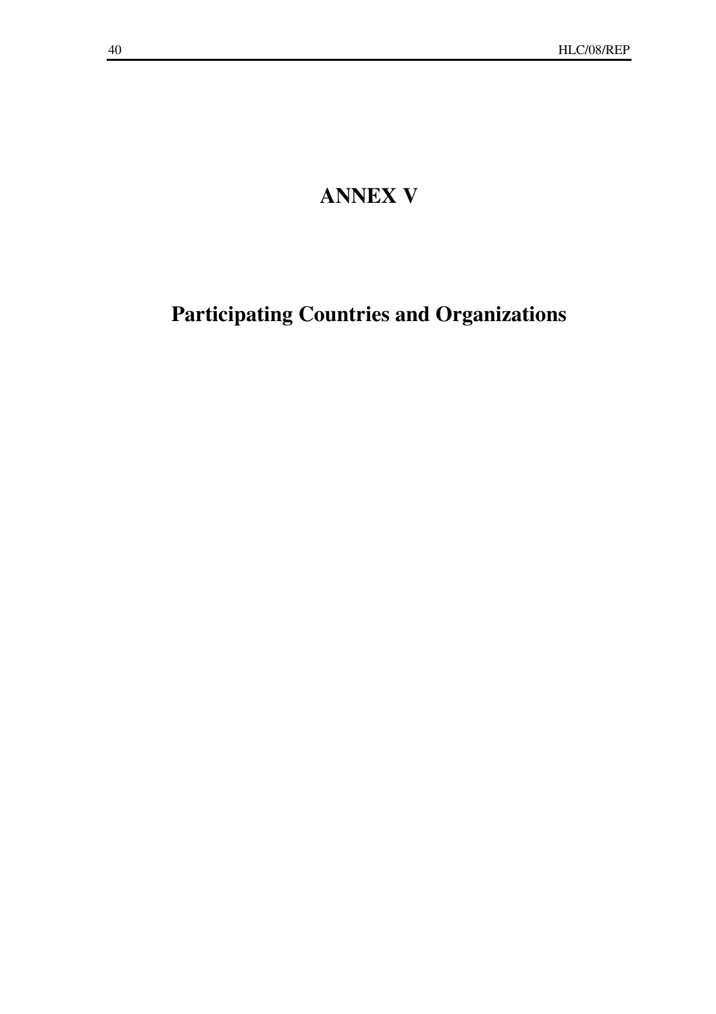# **ANNEX V**

# **Participating Countries and Organizations**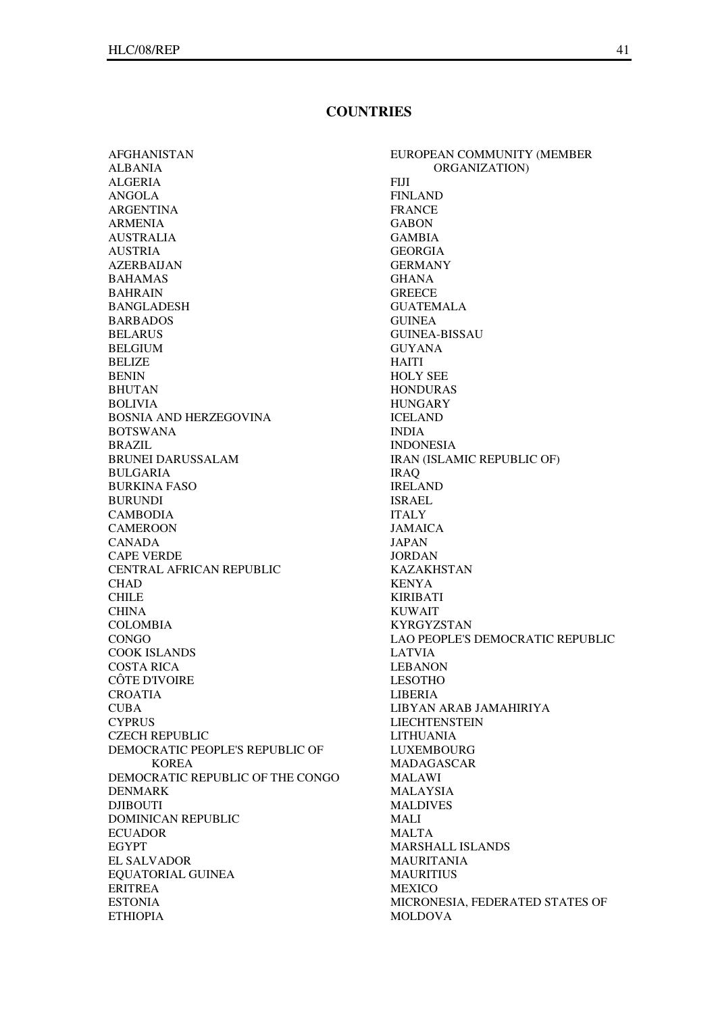# **COUNTRIES**

AFGHANISTAN ALBANIA ALGERIA ANGOLA ARGENTINA ARMENIA AUSTRALIA AUSTRIA AZERBAIJAN BAHAMAS BAHRAIN BANGLADESH BARBADOS BELARUS BELGIUM BELIZE BENIN BHUTAN BOLIVIA BOSNIA AND HERZEGOVINA BOTSWANA BRAZIL BRUNEI DARUSSALAM BULGARIA BURKINA FASO BURUNDI CAMBODIA CAMEROON CANADA CAPE VERDE CENTRAL AFRICAN REPUBLIC CHAD CHILE **CHINA** COLOMBIA **CONGO** COOK ISLANDS COSTA RICA CÔTE D'IVOIRE CROATIA CUBA **CYPRUS** CZECH REPUBLIC DEMOCRATIC PEOPLE'S REPUBLIC OF KOREA DEMOCRATIC REPUBLIC OF THE CONGO DENMARK **DJIBOUTI** DOMINICAN REPUBLIC ECUADOR EGYPT EL SALVADOR EQUATORIAL GUINEA ERITREA ESTONIA ETHIOPIA

EUROPEAN COMMUNITY (MEMBER ORGANIZATION) FIJI FINLAND FRANCE GABON GAMBIA GEORGIA GERMANY GHANA **GREECE** GUATEMALA GUINEA GUINEA-BISSAU GUYANA HAITI HOLY SEE HONDURAS HUNGARY ICELAND INDIA INDONESIA IRAN (ISLAMIC REPUBLIC OF) IRAQ IRELAND ISRAEL ITALY JAMAICA JAPAN JORDAN KAZAKHSTAN KENYA KIRIBATI KUWAIT KYRGYZSTAN LAO PEOPLE'S DEMOCRATIC REPUBLIC LATVIA LEBANON LESOTHO LIBERIA LIBYAN ARAB JAMAHIRIYA **LIECHTENSTEIN** LITHUANIA LUXEMBOURG MADAGASCAR MALAWI MALAYSIA **MALDIVES** MALI MALTA MARSHALL ISLANDS MAURITANIA MAURITIUS MEXICO MICRONESIA, FEDERATED STATES OF MOLDOVA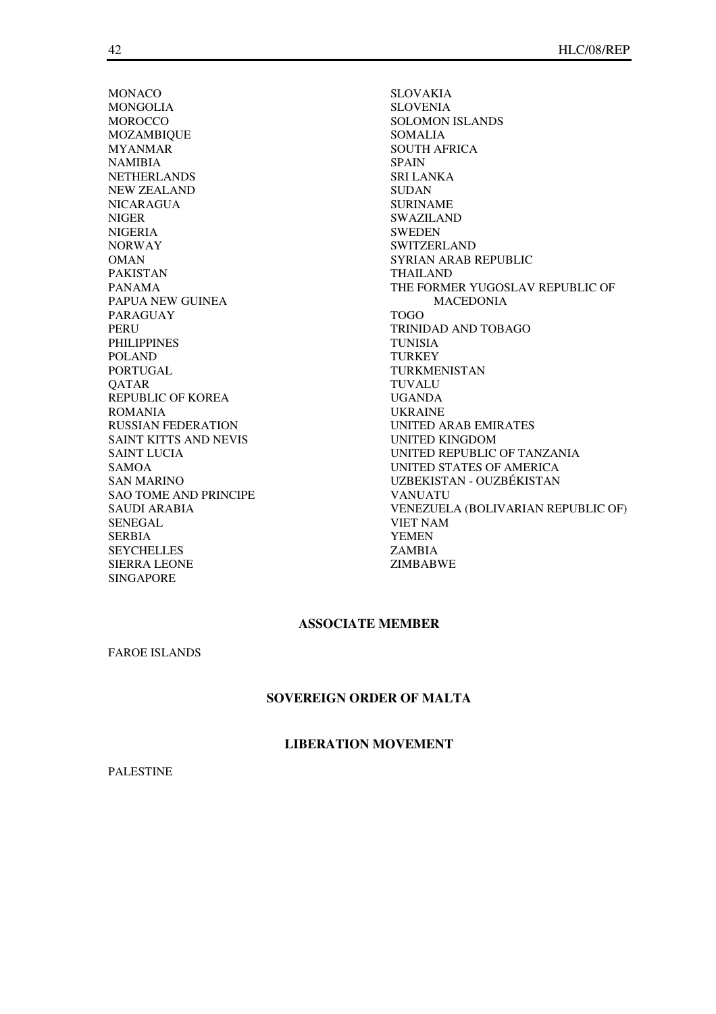MONACO MONGOLIA **MOROCCO** MOZAMBIQUE MYANMAR NAMIBIA NETHERLANDS NEW ZEALAND NICARAGUA **NIGER** NIGERIA NORWAY OMAN PAKISTAN PANAMA PAPUA NEW GUINEA PARAGUAY PERU PHILIPPINES POLAND PORTUGAL **OATAR** REPUBLIC OF KOREA ROMANIA RUSSIAN FEDERATION SAINT KITTS AND NEVIS SAINT LUCIA SAMOA SAN MARINO SAO TOME AND PRINCIPE SAUDI ARABIA SENEGAL SERBIA SEYCHELLES SIERRA LEONE SINGAPORE

SLOVAKIA SLOVENIA SOLOMON ISLANDS SOMALIA SOUTH AFRICA SPAIN SRI LANKA SUDAN SURINAME SWAZILAND **SWEDEN** SWITZERLAND SYRIAN ARAB REPUBLIC THAILAND THE FORMER YUGOSLAV REPUBLIC OF **MACEDONIA** TOGO TRINIDAD AND TOBAGO TUNISIA **TURKEY** TURKMENISTAN TUVALU UGANDA UKRAINE UNITED ARAB EMIRATES UNITED KINGDOM UNITED REPUBLIC OF TANZANIA UNITED STATES OF AMERICA UZBEKISTAN - OUZBÉKISTAN VANUATU VENEZUELA (BOLIVARIAN REPUBLIC OF) VIET NAM YEMEN ZAMBIA ZIMBABWE

#### **ASSOCIATE MEMBER**

FAROE ISLANDS

### **SOVEREIGN ORDER OF MALTA**

### **LIBERATION MOVEMENT**

PALESTINE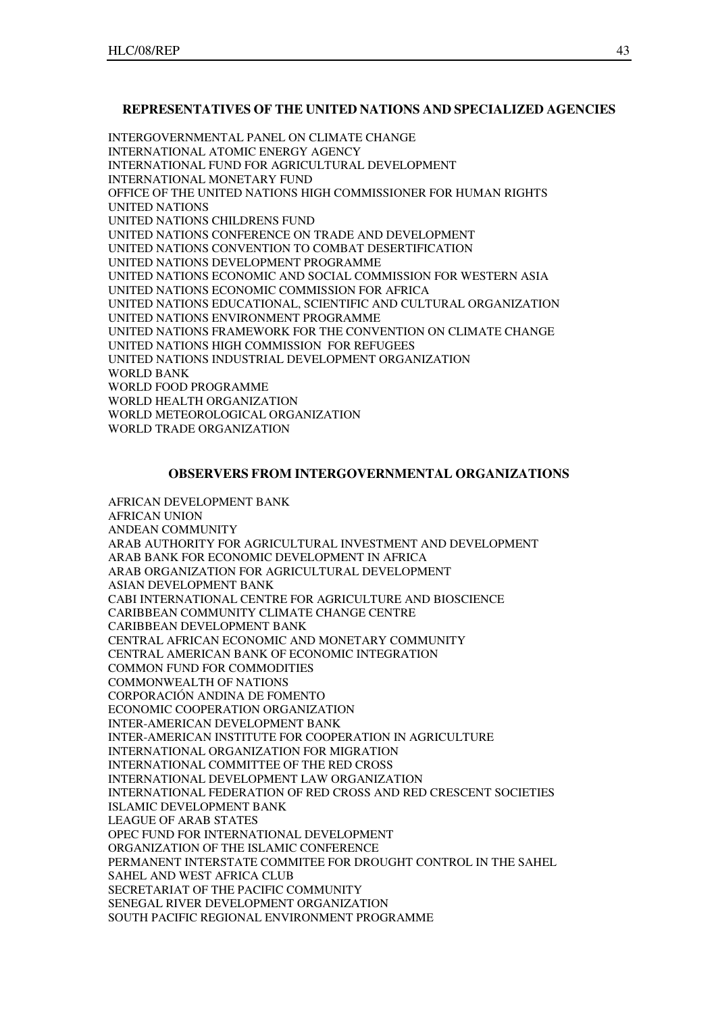### **REPRESENTATIVES OF THE UNITED NATIONS AND SPECIALIZED AGENCIES**

INTERGOVERNMENTAL PANEL ON CLIMATE CHANGE INTERNATIONAL ATOMIC ENERGY AGENCY INTERNATIONAL FUND FOR AGRICULTURAL DEVELOPMENT INTERNATIONAL MONETARY FUND OFFICE OF THE UNITED NATIONS HIGH COMMISSIONER FOR HUMAN RIGHTS UNITED NATIONS UNITED NATIONS CHILDRENS FUND UNITED NATIONS CONFERENCE ON TRADE AND DEVELOPMENT UNITED NATIONS CONVENTION TO COMBAT DESERTIFICATION UNITED NATIONS DEVELOPMENT PROGRAMME UNITED NATIONS ECONOMIC AND SOCIAL COMMISSION FOR WESTERN ASIA UNITED NATIONS ECONOMIC COMMISSION FOR AFRICA UNITED NATIONS EDUCATIONAL, SCIENTIFIC AND CULTURAL ORGANIZATION UNITED NATIONS ENVIRONMENT PROGRAMME UNITED NATIONS FRAMEWORK FOR THE CONVENTION ON CLIMATE CHANGE UNITED NATIONS HIGH COMMISSION FOR REFUGEES UNITED NATIONS INDUSTRIAL DEVELOPMENT ORGANIZATION WORLD BANK WORLD FOOD PROGRAMME WORLD HEALTH ORGANIZATION WORLD METEOROLOGICAL ORGANIZATION WORLD TRADE ORGANIZATION

#### **OBSERVERS FROM INTERGOVERNMENTAL ORGANIZATIONS**

AFRICAN DEVELOPMENT BANK AFRICAN UNION ANDEAN COMMUNITY ARAB AUTHORITY FOR AGRICULTURAL INVESTMENT AND DEVELOPMENT ARAB BANK FOR ECONOMIC DEVELOPMENT IN AFRICA ARAB ORGANIZATION FOR AGRICULTURAL DEVELOPMENT ASIAN DEVELOPMENT BANK CABI INTERNATIONAL CENTRE FOR AGRICULTURE AND BIOSCIENCE CARIBBEAN COMMUNITY CLIMATE CHANGE CENTRE CARIBBEAN DEVELOPMENT BANK CENTRAL AFRICAN ECONOMIC AND MONETARY COMMUNITY CENTRAL AMERICAN BANK OF ECONOMIC INTEGRATION COMMON FUND FOR COMMODITIES COMMONWEALTH OF NATIONS CORPORACIÓN ANDINA DE FOMENTO ECONOMIC COOPERATION ORGANIZATION INTER-AMERICAN DEVELOPMENT BANK INTER-AMERICAN INSTITUTE FOR COOPERATION IN AGRICULTURE INTERNATIONAL ORGANIZATION FOR MIGRATION INTERNATIONAL COMMITTEE OF THE RED CROSS INTERNATIONAL DEVELOPMENT LAW ORGANIZATION INTERNATIONAL FEDERATION OF RED CROSS AND RED CRESCENT SOCIETIES ISLAMIC DEVELOPMENT BANK LEAGUE OF ARAB STATES OPEC FUND FOR INTERNATIONAL DEVELOPMENT ORGANIZATION OF THE ISLAMIC CONFERENCE PERMANENT INTERSTATE COMMITEE FOR DROUGHT CONTROL IN THE SAHEL SAHEL AND WEST AFRICA CLUB SECRETARIAT OF THE PACIFIC COMMUNITY SENEGAL RIVER DEVELOPMENT ORGANIZATION SOUTH PACIFIC REGIONAL ENVIRONMENT PROGRAMME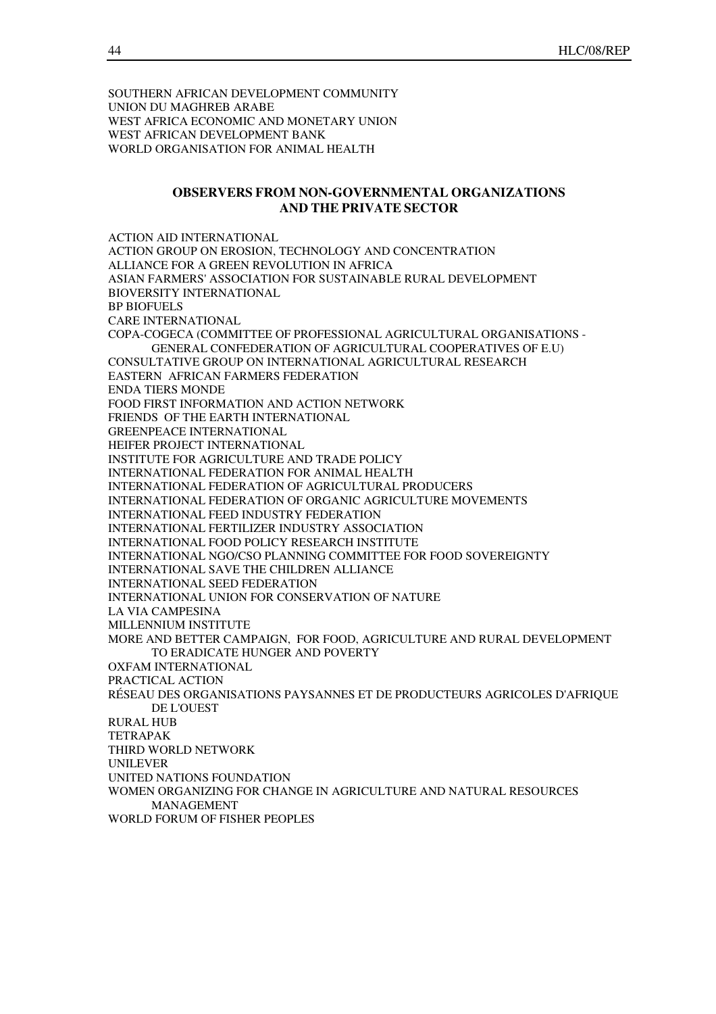SOUTHERN AFRICAN DEVELOPMENT COMMUNITY UNION DU MAGHREB ARABE WEST AFRICA ECONOMIC AND MONETARY UNION WEST AFRICAN DEVELOPMENT BANK WORLD ORGANISATION FOR ANIMAL HEALTH

### **OBSERVERS FROM NON-GOVERNMENTAL ORGANIZATIONS AND THE PRIVATE SECTOR**

ACTION AID INTERNATIONAL ACTION GROUP ON EROSION, TECHNOLOGY AND CONCENTRATION ALLIANCE FOR A GREEN REVOLUTION IN AFRICA ASIAN FARMERS' ASSOCIATION FOR SUSTAINABLE RURAL DEVELOPMENT BIOVERSITY INTERNATIONAL BP BIOFUELS CARE INTERNATIONAL COPA-COGECA (COMMITTEE OF PROFESSIONAL AGRICULTURAL ORGANISATIONS - GENERAL CONFEDERATION OF AGRICULTURAL COOPERATIVES OF E.U) CONSULTATIVE GROUP ON INTERNATIONAL AGRICULTURAL RESEARCH EASTERN AFRICAN FARMERS FEDERATION ENDA TIERS MONDE FOOD FIRST INFORMATION AND ACTION NETWORK FRIENDS OF THE EARTH INTERNATIONAL GREENPEACE INTERNATIONAL HEIFER PROJECT INTERNATIONAL INSTITUTE FOR AGRICULTURE AND TRADE POLICY INTERNATIONAL FEDERATION FOR ANIMAL HEALTH INTERNATIONAL FEDERATION OF AGRICULTURAL PRODUCERS INTERNATIONAL FEDERATION OF ORGANIC AGRICULTURE MOVEMENTS INTERNATIONAL FEED INDUSTRY FEDERATION INTERNATIONAL FERTILIZER INDUSTRY ASSOCIATION INTERNATIONAL FOOD POLICY RESEARCH INSTITUTE INTERNATIONAL NGO/CSO PLANNING COMMITTEE FOR FOOD SOVEREIGNTY INTERNATIONAL SAVE THE CHILDREN ALLIANCE INTERNATIONAL SEED FEDERATION INTERNATIONAL UNION FOR CONSERVATION OF NATURE LA VIA CAMPESINA MILLENNIUM INSTITUTE MORE AND BETTER CAMPAIGN, FOR FOOD, AGRICULTURE AND RURAL DEVELOPMENT TO ERADICATE HUNGER AND POVERTY OXFAM INTERNATIONAL PRACTICAL ACTION RÉSEAU DES ORGANISATIONS PAYSANNES ET DE PRODUCTEURS AGRICOLES D'AFRIQUE DE L'OUEST RURAL HUB TETRAPAK THIRD WORLD NETWORK UNILEVER UNITED NATIONS FOUNDATION WOMEN ORGANIZING FOR CHANGE IN AGRICULTURE AND NATURAL RESOURCES MANAGEMENT WORLD FORUM OF FISHER PEOPLES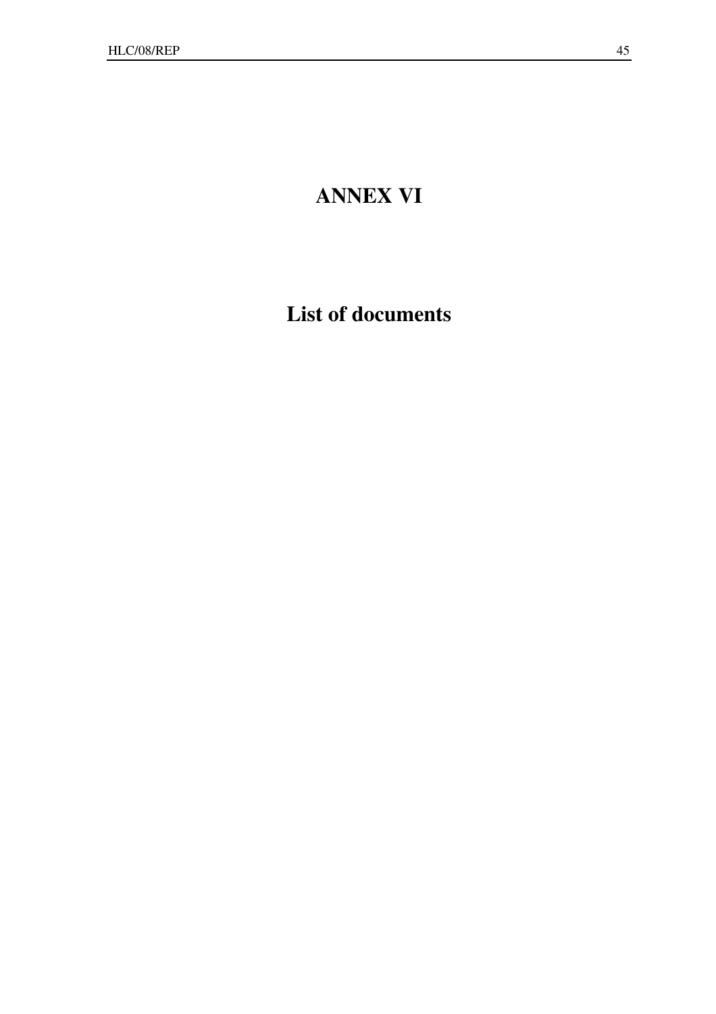# **ANNEX VI**

# **List of documents**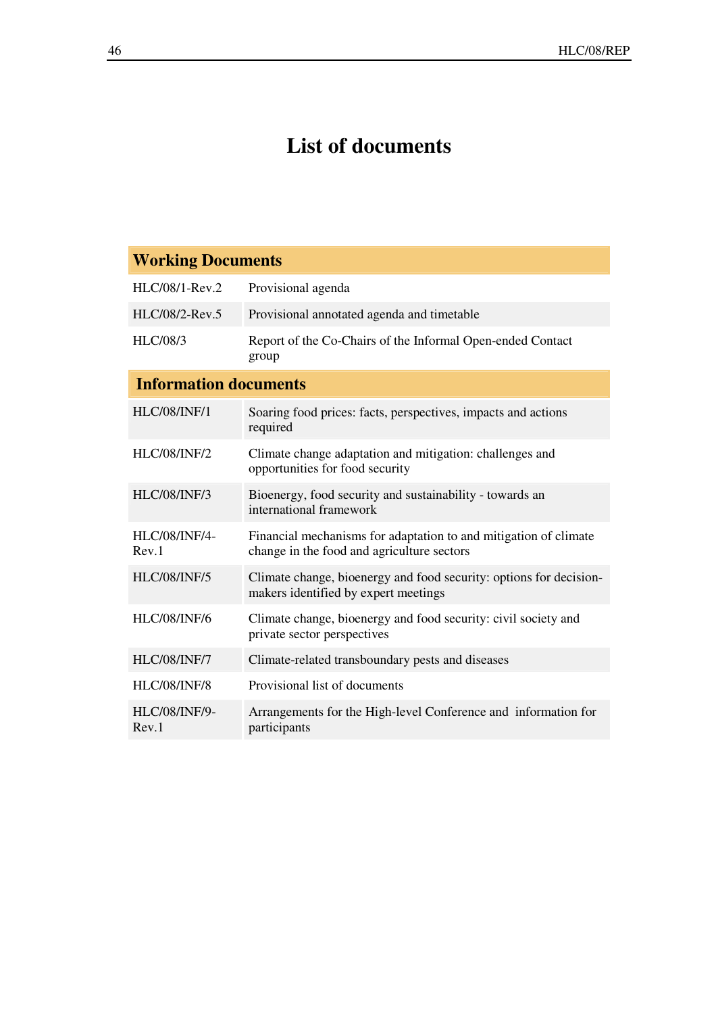# **List of documents**

| <b>Working Documents</b>      |                                                                                                                |  |
|-------------------------------|----------------------------------------------------------------------------------------------------------------|--|
| HLC/08/1-Rev.2                | Provisional agenda                                                                                             |  |
| HLC/08/2-Rev.5                | Provisional annotated agenda and timetable                                                                     |  |
| <b>HLC/08/3</b>               | Report of the Co-Chairs of the Informal Open-ended Contact<br>group                                            |  |
| <b>Information documents</b>  |                                                                                                                |  |
| <b>HLC/08/INF/1</b>           | Soaring food prices: facts, perspectives, impacts and actions<br>required                                      |  |
| <b>HLC/08/INF/2</b>           | Climate change adaptation and mitigation: challenges and<br>opportunities for food security                    |  |
| <b>HLC/08/INF/3</b>           | Bioenergy, food security and sustainability - towards an<br>international framework                            |  |
| <b>HLC/08/INF/4-</b><br>Rev.1 | Financial mechanisms for adaptation to and mitigation of climate<br>change in the food and agriculture sectors |  |
| <b>HLC/08/INF/5</b>           | Climate change, bioenergy and food security: options for decision-<br>makers identified by expert meetings     |  |
| <b>HLC/08/INF/6</b>           | Climate change, bioenergy and food security: civil society and<br>private sector perspectives                  |  |
| <b>HLC/08/INF/7</b>           | Climate-related transboundary pests and diseases                                                               |  |
| <b>HLC/08/INF/8</b>           | Provisional list of documents                                                                                  |  |
| <b>HLC/08/INF/9-</b><br>Rev.1 | Arrangements for the High-level Conference and information for<br>participants                                 |  |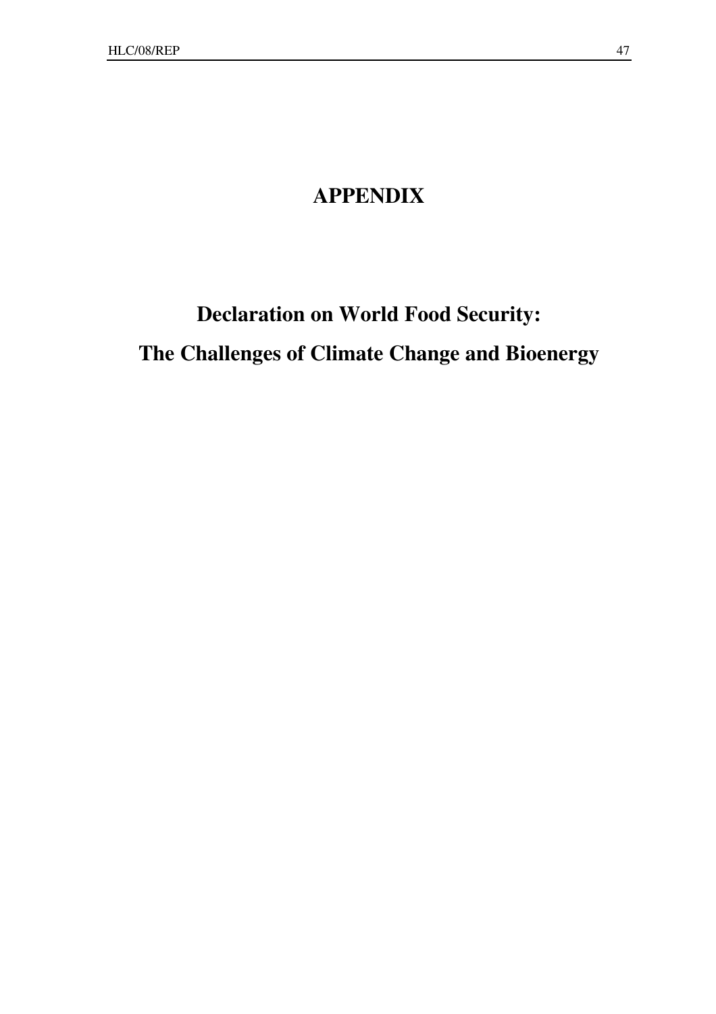# **APPENDIX**

# **Declaration on World Food Security: The Challenges of Climate Change and Bioenergy**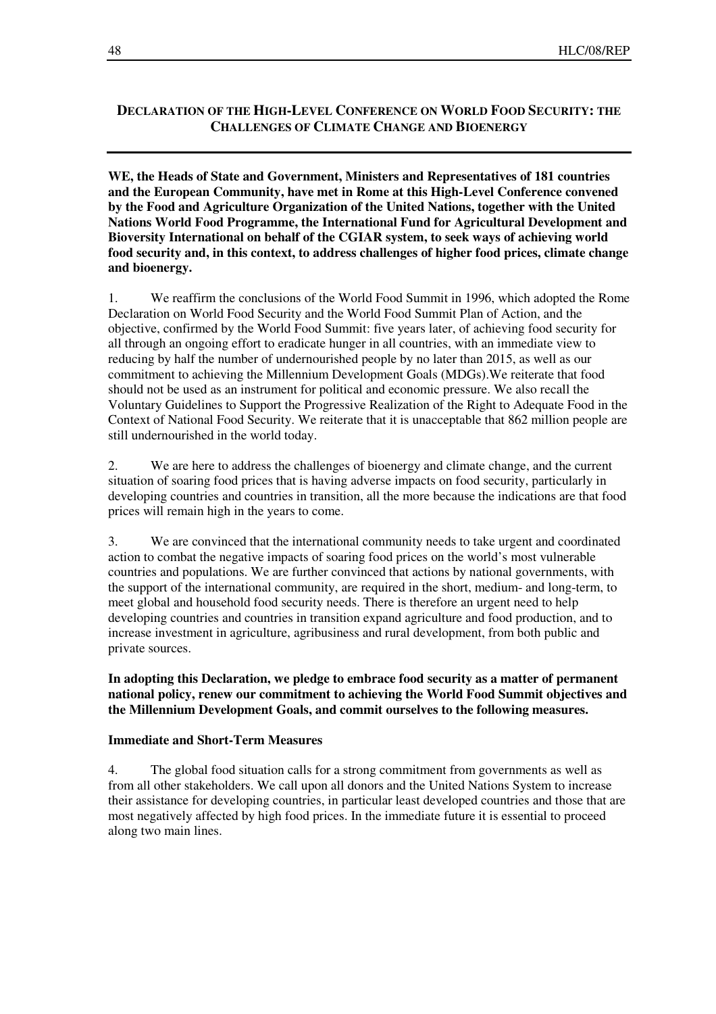# **DECLARATION OF THE HIGH-LEVEL CONFERENCE ON WORLD FOOD SECURITY: THE CHALLENGES OF CLIMATE CHANGE AND BIOENERGY**

**WE, the Heads of State and Government, Ministers and Representatives of 181 countries and the European Community, have met in Rome at this High-Level Conference convened by the Food and Agriculture Organization of the United Nations, together with the United Nations World Food Programme, the International Fund for Agricultural Development and Bioversity International on behalf of the CGIAR system, to seek ways of achieving world food security and, in this context, to address challenges of higher food prices, climate change and bioenergy.**

1. We reaffirm the conclusions of the World Food Summit in 1996, which adopted the Rome Declaration on World Food Security and the World Food Summit Plan of Action, and the objective, confirmed by the World Food Summit: five years later, of achieving food security for all through an ongoing effort to eradicate hunger in all countries, with an immediate view to reducing by half the number of undernourished people by no later than 2015, as well as our commitment to achieving the Millennium Development Goals (MDGs).We reiterate that food should not be used as an instrument for political and economic pressure. We also recall the Voluntary Guidelines to Support the Progressive Realization of the Right to Adequate Food in the Context of National Food Security. We reiterate that it is unacceptable that 862 million people are still undernourished in the world today.

2. We are here to address the challenges of bioenergy and climate change, and the current situation of soaring food prices that is having adverse impacts on food security, particularly in developing countries and countries in transition, all the more because the indications are that food prices will remain high in the years to come.

3. We are convinced that the international community needs to take urgent and coordinated action to combat the negative impacts of soaring food prices on the world's most vulnerable countries and populations. We are further convinced that actions by national governments, with the support of the international community, are required in the short, medium- and long-term, to meet global and household food security needs. There is therefore an urgent need to help developing countries and countries in transition expand agriculture and food production, and to increase investment in agriculture, agribusiness and rural development, from both public and private sources.

# **In adopting this Declaration, we pledge to embrace food security as a matter of permanent national policy, renew our commitment to achieving the World Food Summit objectives and the Millennium Development Goals, and commit ourselves to the following measures.**

### **Immediate and Short-Term Measures**

4. The global food situation calls for a strong commitment from governments as well as from all other stakeholders. We call upon all donors and the United Nations System to increase their assistance for developing countries, in particular least developed countries and those that are most negatively affected by high food prices. In the immediate future it is essential to proceed along two main lines.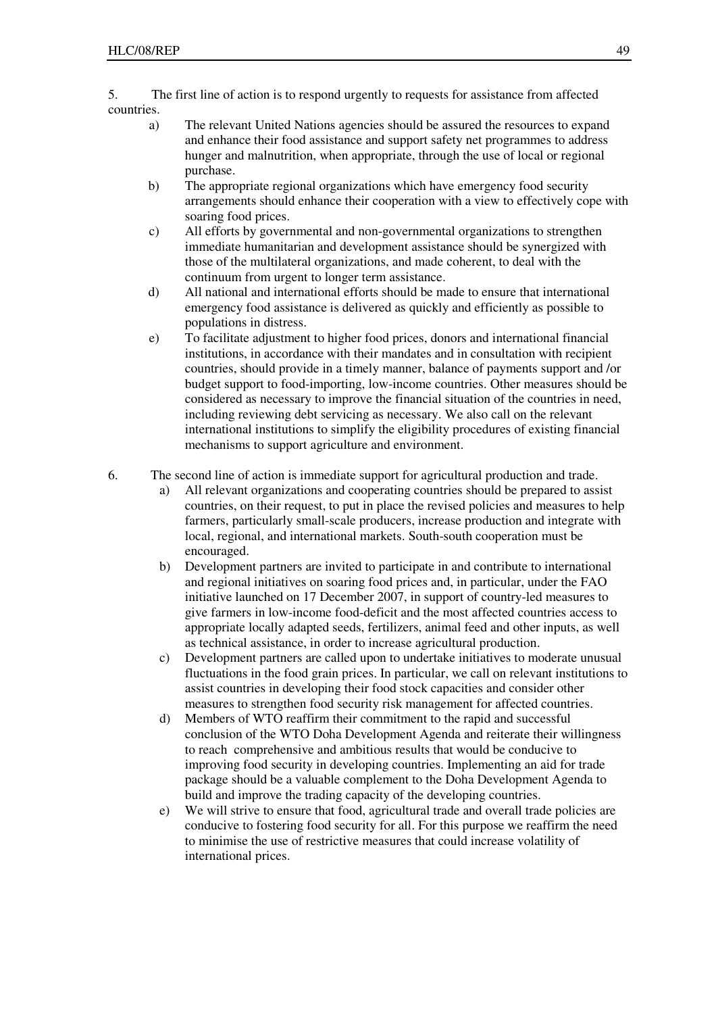5. The first line of action is to respond urgently to requests for assistance from affected countries.

- a) The relevant United Nations agencies should be assured the resources to expand and enhance their food assistance and support safety net programmes to address hunger and malnutrition, when appropriate, through the use of local or regional purchase.
- b) The appropriate regional organizations which have emergency food security arrangements should enhance their cooperation with a view to effectively cope with soaring food prices.
- c) All efforts by governmental and non-governmental organizations to strengthen immediate humanitarian and development assistance should be synergized with those of the multilateral organizations, and made coherent, to deal with the continuum from urgent to longer term assistance.
- d) All national and international efforts should be made to ensure that international emergency food assistance is delivered as quickly and efficiently as possible to populations in distress.
- e) To facilitate adjustment to higher food prices, donors and international financial institutions, in accordance with their mandates and in consultation with recipient countries, should provide in a timely manner, balance of payments support and /or budget support to food-importing, low-income countries. Other measures should be considered as necessary to improve the financial situation of the countries in need, including reviewing debt servicing as necessary. We also call on the relevant international institutions to simplify the eligibility procedures of existing financial mechanisms to support agriculture and environment.
- 6. The second line of action is immediate support for agricultural production and trade.
	- a) All relevant organizations and cooperating countries should be prepared to assist countries, on their request, to put in place the revised policies and measures to help farmers, particularly small-scale producers, increase production and integrate with local, regional, and international markets. South-south cooperation must be encouraged.
	- b) Development partners are invited to participate in and contribute to international and regional initiatives on soaring food prices and, in particular, under the FAO initiative launched on 17 December 2007, in support of country-led measures to give farmers in low-income food-deficit and the most affected countries access to appropriate locally adapted seeds, fertilizers, animal feed and other inputs, as well as technical assistance, in order to increase agricultural production.
	- c) Development partners are called upon to undertake initiatives to moderate unusual fluctuations in the food grain prices. In particular, we call on relevant institutions to assist countries in developing their food stock capacities and consider other measures to strengthen food security risk management for affected countries.
	- d) Members of WTO reaffirm their commitment to the rapid and successful conclusion of the WTO Doha Development Agenda and reiterate their willingness to reach comprehensive and ambitious results that would be conducive to improving food security in developing countries. Implementing an aid for trade package should be a valuable complement to the Doha Development Agenda to build and improve the trading capacity of the developing countries.
	- e) We will strive to ensure that food, agricultural trade and overall trade policies are conducive to fostering food security for all. For this purpose we reaffirm the need to minimise the use of restrictive measures that could increase volatility of international prices.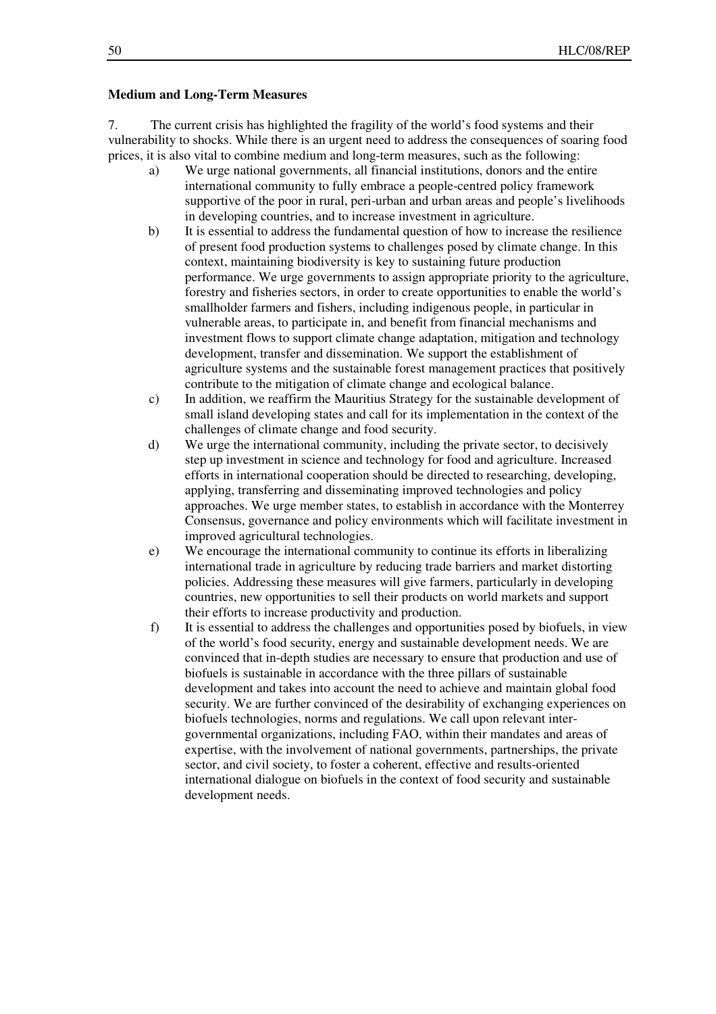#### **Medium and Long-Term Measures**

7. The current crisis has highlighted the fragility of the world's food systems and their vulnerability to shocks. While there is an urgent need to address the consequences of soaring food prices, it is also vital to combine medium and long-term measures, such as the following:

- a) We urge national governments, all financial institutions, donors and the entire international community to fully embrace a people-centred policy framework supportive of the poor in rural, peri-urban and urban areas and people's livelihoods in developing countries, and to increase investment in agriculture.
- b) It is essential to address the fundamental question of how to increase the resilience of present food production systems to challenges posed by climate change. In this context, maintaining biodiversity is key to sustaining future production performance. We urge governments to assign appropriate priority to the agriculture, forestry and fisheries sectors, in order to create opportunities to enable the world's smallholder farmers and fishers, including indigenous people, in particular in vulnerable areas, to participate in, and benefit from financial mechanisms and investment flows to support climate change adaptation, mitigation and technology development, transfer and dissemination. We support the establishment of agriculture systems and the sustainable forest management practices that positively contribute to the mitigation of climate change and ecological balance.
- c) In addition, we reaffirm the Mauritius Strategy for the sustainable development of small island developing states and call for its implementation in the context of the challenges of climate change and food security.
- d) We urge the international community, including the private sector, to decisively step up investment in science and technology for food and agriculture. Increased efforts in international cooperation should be directed to researching, developing, applying, transferring and disseminating improved technologies and policy approaches. We urge member states, to establish in accordance with the Monterrey Consensus, governance and policy environments which will facilitate investment in improved agricultural technologies.
- e) We encourage the international community to continue its efforts in liberalizing international trade in agriculture by reducing trade barriers and market distorting policies. Addressing these measures will give farmers, particularly in developing countries, new opportunities to sell their products on world markets and support their efforts to increase productivity and production.
- f) It is essential to address the challenges and opportunities posed by biofuels, in view of the world's food security, energy and sustainable development needs. We are convinced that in-depth studies are necessary to ensure that production and use of biofuels is sustainable in accordance with the three pillars of sustainable development and takes into account the need to achieve and maintain global food security. We are further convinced of the desirability of exchanging experiences on biofuels technologies, norms and regulations. We call upon relevant intergovernmental organizations, including FAO, within their mandates and areas of expertise, with the involvement of national governments, partnerships, the private sector, and civil society, to foster a coherent, effective and results-oriented international dialogue on biofuels in the context of food security and sustainable development needs.